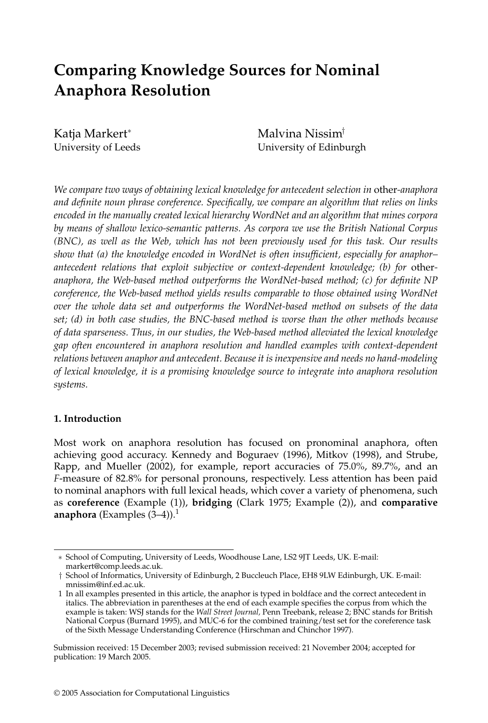# **Comparing Knowledge Sources for Nominal Anaphora Resolution**

Katja Markert<sup>∗</sup> University of Leeds Malvina Nissim† University of Edinburgh

*We compare two ways of obtaining lexical knowledge for antecedent selection in* other*-anaphora and definite noun phrase coreference. Specifically, we compare an algorithm that relies on links encoded in the manually created lexical hierarchy WordNet and an algorithm that mines corpora by means of shallow lexico-semantic patterns. As corpora we use the British National Corpus (BNC), as well as the Web, which has not been previously used for this task. Our results show that (a) the knowledge encoded in WordNet is often insufficient, especially for anaphor– antecedent relations that exploit subjective or context-dependent knowledge; (b) for* other*anaphora, the Web-based method outperforms the WordNet-based method; (c) for definite NP coreference, the Web-based method yields results comparable to those obtained using WordNet over the whole data set and outperforms the WordNet-based method on subsets of the data set; (d) in both case studies, the BNC-based method is worse than the other methods because of data sparseness. Thus, in our studies, the Web-based method alleviated the lexical knowledge gap often encountered in anaphora resolution and handled examples with context-dependent relations between anaphor and antecedent. Because it is inexpensive and needs no hand-modeling of lexical knowledge, it is a promising knowledge source to integrate into anaphora resolution systems.*

### **1. Introduction**

Most work on anaphora resolution has focused on pronominal anaphora, often achieving good accuracy. Kennedy and Boguraev (1996), Mitkov (1998), and Strube, Rapp, and Mueller (2002), for example, report accuracies of 75.0%, 89.7%, and an *F*-measure of 82.8% for personal pronouns, respectively. Less attention has been paid to nominal anaphors with full lexical heads, which cover a variety of phenomena, such as **coreference** (Example (1)), **bridging** (Clark 1975; Example (2)), and **comparative anaphora** (Examples  $(3-4)$ ).<sup>1</sup>

<sup>∗</sup> School of Computing, University of Leeds, Woodhouse Lane, LS2 9JT Leeds, UK. E-mail: markert@comp.leeds.ac.uk.

<sup>†</sup> School of Informatics, University of Edinburgh, 2 Buccleuch Place, EH8 9LW Edinburgh, UK. E-mail: mnissim@inf.ed.ac.uk.

<sup>1</sup> In all examples presented in this article, the anaphor is typed in boldface and the correct antecedent in italics. The abbreviation in parentheses at the end of each example specifies the corpus from which the example is taken: WSJ stands for the *Wall Street Journal,* Penn Treebank, release 2; BNC stands for British National Corpus (Burnard 1995), and MUC-6 for the combined training/test set for the coreference task of the Sixth Message Understanding Conference (Hirschman and Chinchor 1997).

Submission received: 15 December 2003; revised submission received: 21 November 2004; accepted for publication: 19 March 2005.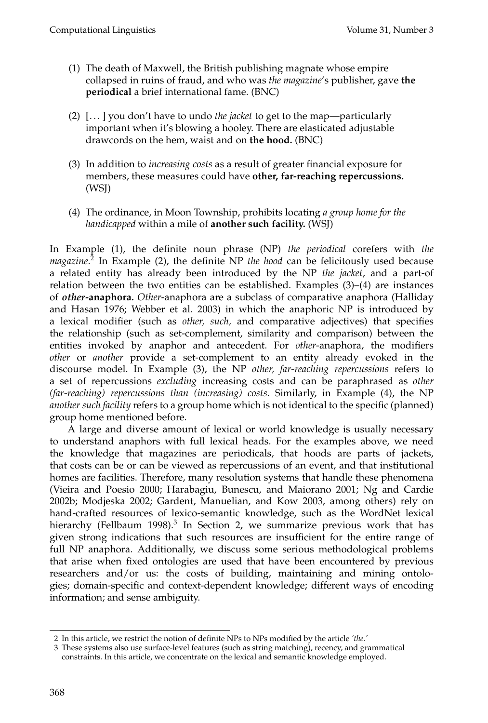- (1) The death of Maxwell, the British publishing magnate whose empire collapsed in ruins of fraud, and who was *the magazine*'s publisher, gave **the periodical** a brief international fame. (BNC)
- (2) [. . . ] you don't have to undo *the jacket* to get to the map—particularly important when it's blowing a hooley. There are elasticated adjustable drawcords on the hem, waist and on **the hood.** (BNC)
- (3) In addition to *increasing costs* as a result of greater financial exposure for members, these measures could have **other, far-reaching repercussions.** (WSJ)
- (4) The ordinance, in Moon Township, prohibits locating *a group home for the handicapped* within a mile of **another such facility.** (WSJ)

In Example (1), the definite noun phrase (NP) *the periodical* corefers with *the magazine*. <sup>2</sup> In Example (2), the definite NP *the hood* can be felicitously used because a related entity has already been introduced by the NP *the jacket*, and a part-of relation between the two entities can be established. Examples (3)–(4) are instances of *other***-anaphora.** *Other*-anaphora are a subclass of comparative anaphora (Halliday and Hasan 1976; Webber et al. 2003) in which the anaphoric NP is introduced by a lexical modifier (such as *other, such,* and comparative adjectives) that specifies the relationship (such as set-complement, similarity and comparison) between the entities invoked by anaphor and antecedent. For *other*-anaphora, the modifiers *other* or *another* provide a set-complement to an entity already evoked in the discourse model. In Example (3), the NP *other, far-reaching repercussions* refers to a set of repercussions *excluding* increasing costs and can be paraphrased as *other (far-reaching) repercussions than (increasing) costs*. Similarly, in Example (4), the NP *another such facility* refers to a group home which is not identical to the specific (planned) group home mentioned before.

A large and diverse amount of lexical or world knowledge is usually necessary to understand anaphors with full lexical heads. For the examples above, we need the knowledge that magazines are periodicals, that hoods are parts of jackets, that costs can be or can be viewed as repercussions of an event, and that institutional homes are facilities. Therefore, many resolution systems that handle these phenomena (Vieira and Poesio 2000; Harabagiu, Bunescu, and Maiorano 2001; Ng and Cardie 2002b; Modjeska 2002; Gardent, Manuelian, and Kow 2003, among others) rely on hand-crafted resources of lexico-semantic knowledge, such as the WordNet lexical hierarchy (Fellbaum 1998).<sup>3</sup> In Section 2, we summarize previous work that has given strong indications that such resources are insufficient for the entire range of full NP anaphora. Additionally, we discuss some serious methodological problems that arise when fixed ontologies are used that have been encountered by previous researchers and/or us: the costs of building, maintaining and mining ontologies; domain-specific and context-dependent knowledge; different ways of encoding information; and sense ambiguity.

<sup>2</sup> In this article, we restrict the notion of definite NPs to NPs modified by the article *'the.'*

<sup>3</sup> These systems also use surface-level features (such as string matching), recency, and grammatical constraints. In this article, we concentrate on the lexical and semantic knowledge employed.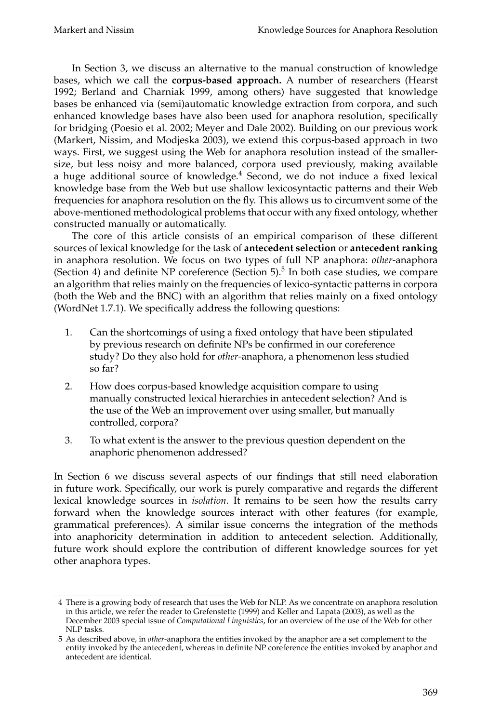In Section 3, we discuss an alternative to the manual construction of knowledge bases, which we call the **corpus-based approach.** A number of researchers (Hearst 1992; Berland and Charniak 1999, among others) have suggested that knowledge bases be enhanced via (semi)automatic knowledge extraction from corpora, and such enhanced knowledge bases have also been used for anaphora resolution, specifically for bridging (Poesio et al. 2002; Meyer and Dale 2002). Building on our previous work (Markert, Nissim, and Modjeska 2003), we extend this corpus-based approach in two ways. First, we suggest using the Web for anaphora resolution instead of the smallersize, but less noisy and more balanced, corpora used previously, making available a huge additional source of knowledge.<sup>4</sup> Second, we do not induce a fixed lexical knowledge base from the Web but use shallow lexicosyntactic patterns and their Web frequencies for anaphora resolution on the fly. This allows us to circumvent some of the above-mentioned methodological problems that occur with any fixed ontology, whether constructed manually or automatically.

The core of this article consists of an empirical comparison of these different sources of lexical knowledge for the task of **antecedent selection** or **antecedent ranking** in anaphora resolution. We focus on two types of full NP anaphora: *other-*anaphora (Section 4) and definite NP coreference (Section 5).<sup>5</sup> In both case studies, we compare an algorithm that relies mainly on the frequencies of lexico-syntactic patterns in corpora (both the Web and the BNC) with an algorithm that relies mainly on a fixed ontology (WordNet 1.7.1). We specifically address the following questions:

- 1. Can the shortcomings of using a fixed ontology that have been stipulated by previous research on definite NPs be confirmed in our coreference study? Do they also hold for *other-*anaphora, a phenomenon less studied so far?
- 2. How does corpus-based knowledge acquisition compare to using manually constructed lexical hierarchies in antecedent selection? And is the use of the Web an improvement over using smaller, but manually controlled, corpora?
- 3. To what extent is the answer to the previous question dependent on the anaphoric phenomenon addressed?

In Section 6 we discuss several aspects of our findings that still need elaboration in future work. Specifically, our work is purely comparative and regards the different lexical knowledge sources in *isolation*. It remains to be seen how the results carry forward when the knowledge sources interact with other features (for example, grammatical preferences). A similar issue concerns the integration of the methods into anaphoricity determination in addition to antecedent selection. Additionally, future work should explore the contribution of different knowledge sources for yet other anaphora types.

<sup>4</sup> There is a growing body of research that uses the Web for NLP. As we concentrate on anaphora resolution in this article, we refer the reader to Grefenstette (1999) and Keller and Lapata (2003), as well as the December 2003 special issue of *Computational Linguistics*, for an overview of the use of the Web for other NLP tasks.

<sup>5</sup> As described above, in *other-*anaphora the entities invoked by the anaphor are a set complement to the entity invoked by the antecedent, whereas in definite NP coreference the entities invoked by anaphor and antecedent are identical.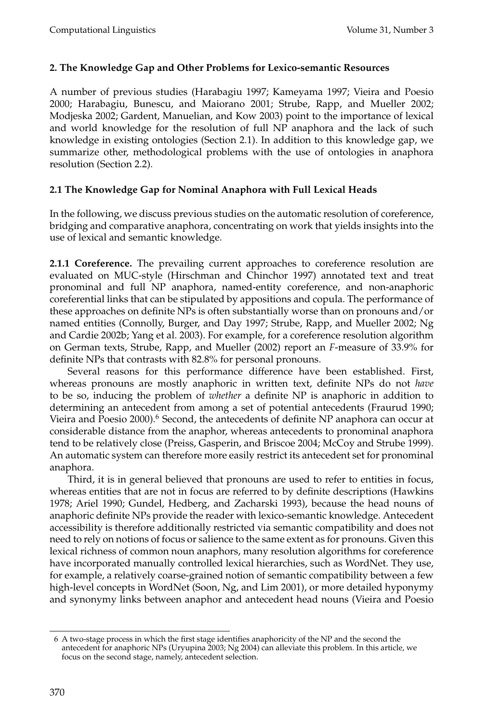# **2. The Knowledge Gap and Other Problems for Lexico-semantic Resources**

A number of previous studies (Harabagiu 1997; Kameyama 1997; Vieira and Poesio 2000; Harabagiu, Bunescu, and Maiorano 2001; Strube, Rapp, and Mueller 2002; Modjeska 2002; Gardent, Manuelian, and Kow 2003) point to the importance of lexical and world knowledge for the resolution of full NP anaphora and the lack of such knowledge in existing ontologies (Section 2.1). In addition to this knowledge gap, we summarize other, methodological problems with the use of ontologies in anaphora resolution (Section 2.2).

# **2.1 The Knowledge Gap for Nominal Anaphora with Full Lexical Heads**

In the following, we discuss previous studies on the automatic resolution of coreference, bridging and comparative anaphora, concentrating on work that yields insights into the use of lexical and semantic knowledge.

**2.1.1 Coreference.** The prevailing current approaches to coreference resolution are evaluated on MUC-style (Hirschman and Chinchor 1997) annotated text and treat pronominal and full NP anaphora, named-entity coreference, and non-anaphoric coreferential links that can be stipulated by appositions and copula. The performance of these approaches on definite NPs is often substantially worse than on pronouns and/or named entities (Connolly, Burger, and Day 1997; Strube, Rapp, and Mueller 2002; Ng and Cardie 2002b; Yang et al. 2003). For example, for a coreference resolution algorithm on German texts, Strube, Rapp, and Mueller (2002) report an *F*-measure of 33.9% for definite NPs that contrasts with 82.8% for personal pronouns.

Several reasons for this performance difference have been established. First, whereas pronouns are mostly anaphoric in written text, definite NPs do not *have* to be so, inducing the problem of *whether* a definite NP is anaphoric in addition to determining an antecedent from among a set of potential antecedents (Fraurud 1990; Vieira and Poesio 2000).<sup>6</sup> Second, the antecedents of definite NP anaphora can occur at considerable distance from the anaphor, whereas antecedents to pronominal anaphora tend to be relatively close (Preiss, Gasperin, and Briscoe 2004; McCoy and Strube 1999). An automatic system can therefore more easily restrict its antecedent set for pronominal anaphora.

Third, it is in general believed that pronouns are used to refer to entities in focus, whereas entities that are not in focus are referred to by definite descriptions (Hawkins 1978; Ariel 1990; Gundel, Hedberg, and Zacharski 1993), because the head nouns of anaphoric definite NPs provide the reader with lexico-semantic knowledge. Antecedent accessibility is therefore additionally restricted via semantic compatibility and does not need to rely on notions of focus or salience to the same extent as for pronouns. Given this lexical richness of common noun anaphors, many resolution algorithms for coreference have incorporated manually controlled lexical hierarchies, such as WordNet. They use, for example, a relatively coarse-grained notion of semantic compatibility between a few high-level concepts in WordNet (Soon, Ng, and Lim 2001), or more detailed hyponymy and synonymy links between anaphor and antecedent head nouns (Vieira and Poesio

<sup>6</sup> A two-stage process in which the first stage identifies anaphoricity of the NP and the second the antecedent for anaphoric NPs (Uryupina 2003; Ng 2004) can alleviate this problem. In this article, we focus on the second stage, namely, antecedent selection.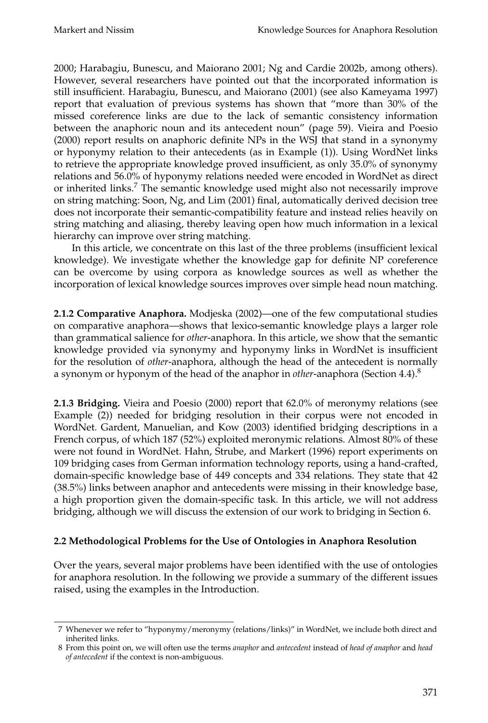2000; Harabagiu, Bunescu, and Maiorano 2001; Ng and Cardie 2002b, among others). However, several researchers have pointed out that the incorporated information is still insufficient. Harabagiu, Bunescu, and Maiorano (2001) (see also Kameyama 1997) report that evaluation of previous systems has shown that "more than 30% of the missed coreference links are due to the lack of semantic consistency information between the anaphoric noun and its antecedent noun" (page 59). Vieira and Poesio (2000) report results on anaphoric definite NPs in the WSJ that stand in a synonymy or hyponymy relation to their antecedents (as in Example (1)). Using WordNet links to retrieve the appropriate knowledge proved insufficient, as only 35.0% of synonymy relations and 56.0% of hyponymy relations needed were encoded in WordNet as direct or inherited links.<sup>7</sup> The semantic knowledge used might also not necessarily improve on string matching: Soon, Ng, and Lim (2001) final, automatically derived decision tree does not incorporate their semantic-compatibility feature and instead relies heavily on string matching and aliasing, thereby leaving open how much information in a lexical hierarchy can improve over string matching.

In this article, we concentrate on this last of the three problems (insufficient lexical knowledge). We investigate whether the knowledge gap for definite NP coreference can be overcome by using corpora as knowledge sources as well as whether the incorporation of lexical knowledge sources improves over simple head noun matching.

**2.1.2 Comparative Anaphora.** Modjeska (2002)—one of the few computational studies on comparative anaphora—shows that lexico-semantic knowledge plays a larger role than grammatical salience for *other*-anaphora. In this article, we show that the semantic knowledge provided via synonymy and hyponymy links in WordNet is insufficient for the resolution of *other*-anaphora, although the head of the antecedent is normally a synonym or hyponym of the head of the anaphor in *other*-anaphora (Section 4.4).8

**2.1.3 Bridging.** Vieira and Poesio (2000) report that 62.0% of meronymy relations (see Example (2)) needed for bridging resolution in their corpus were not encoded in WordNet. Gardent, Manuelian, and Kow (2003) identified bridging descriptions in a French corpus, of which 187 (52%) exploited meronymic relations. Almost 80% of these were not found in WordNet. Hahn, Strube, and Markert (1996) report experiments on 109 bridging cases from German information technology reports, using a hand-crafted, domain-specific knowledge base of 449 concepts and 334 relations. They state that 42 (38.5%) links between anaphor and antecedents were missing in their knowledge base, a high proportion given the domain-specific task. In this article, we will not address bridging, although we will discuss the extension of our work to bridging in Section 6.

# **2.2 Methodological Problems for the Use of Ontologies in Anaphora Resolution**

Over the years, several major problems have been identified with the use of ontologies for anaphora resolution. In the following we provide a summary of the different issues raised, using the examples in the Introduction.

<sup>7</sup> Whenever we refer to "hyponymy/meronymy (relations/links)" in WordNet, we include both direct and inherited links.

<sup>8</sup> From this point on, we will often use the terms *anaphor* and *antecedent* instead of *head of anaphor* and *head of antecedent* if the context is non-ambiguous.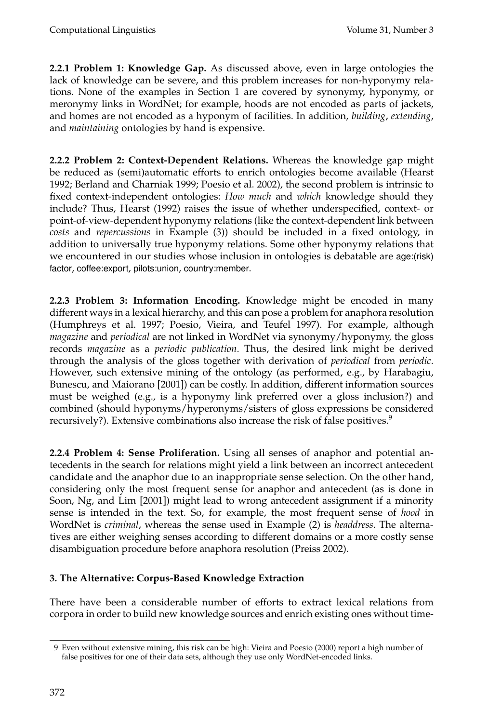**2.2.1 Problem 1: Knowledge Gap.** As discussed above, even in large ontologies the lack of knowledge can be severe, and this problem increases for non-hyponymy relations. None of the examples in Section 1 are covered by synonymy, hyponymy, or meronymy links in WordNet; for example, hoods are not encoded as parts of jackets, and homes are not encoded as a hyponym of facilities. In addition, *building*, *extending*, and *maintaining* ontologies by hand is expensive.

**2.2.2 Problem 2: Context-Dependent Relations.** Whereas the knowledge gap might be reduced as (semi)automatic efforts to enrich ontologies become available (Hearst 1992; Berland and Charniak 1999; Poesio et al. 2002), the second problem is intrinsic to fixed context-independent ontologies: *How much* and *which* knowledge should they include? Thus, Hearst (1992) raises the issue of whether underspecified, context- or point-of-view-dependent hyponymy relations (like the context-dependent link between *costs* and *repercussions* in Example (3)) should be included in a fixed ontology, in addition to universally true hyponymy relations. Some other hyponymy relations that we encountered in our studies whose inclusion in ontologies is debatable are age:(risk) factor, coffee:export, pilots:union, country:member.

**2.2.3 Problem 3: Information Encoding.** Knowledge might be encoded in many different ways in a lexical hierarchy, and this can pose a problem for anaphora resolution (Humphreys et al. 1997; Poesio, Vieira, and Teufel 1997). For example, although *magazine* and *periodical* are not linked in WordNet via synonymy/hyponymy, the gloss records *magazine* as a *periodic publication*. Thus, the desired link might be derived through the analysis of the gloss together with derivation of *periodical* from *periodic*. However, such extensive mining of the ontology (as performed, e.g., by Harabagiu, Bunescu, and Maiorano [2001]) can be costly. In addition, different information sources must be weighed (e.g., is a hyponymy link preferred over a gloss inclusion?) and combined (should hyponyms/hyperonyms/sisters of gloss expressions be considered recursively?). Extensive combinations also increase the risk of false positives.<sup>9</sup>

**2.2.4 Problem 4: Sense Proliferation.** Using all senses of anaphor and potential antecedents in the search for relations might yield a link between an incorrect antecedent candidate and the anaphor due to an inappropriate sense selection. On the other hand, considering only the most frequent sense for anaphor and antecedent (as is done in Soon, Ng, and Lim [2001]) might lead to wrong antecedent assignment if a minority sense is intended in the text. So, for example, the most frequent sense of *hood* in WordNet is *criminal*, whereas the sense used in Example (2) is *headdress*. The alternatives are either weighing senses according to different domains or a more costly sense disambiguation procedure before anaphora resolution (Preiss 2002).

# **3. The Alternative: Corpus-Based Knowledge Extraction**

There have been a considerable number of efforts to extract lexical relations from corpora in order to build new knowledge sources and enrich existing ones without time-

<sup>9</sup> Even without extensive mining, this risk can be high: Vieira and Poesio (2000) report a high number of false positives for one of their data sets, although they use only WordNet-encoded links.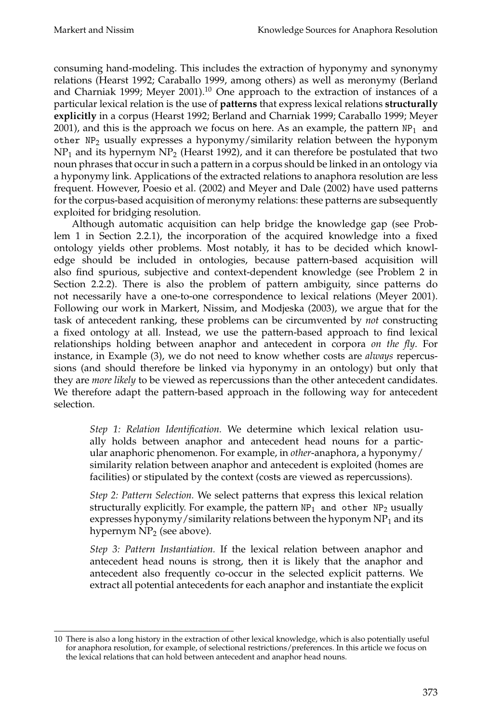consuming hand-modeling. This includes the extraction of hyponymy and synonymy relations (Hearst 1992; Caraballo 1999, among others) as well as meronymy (Berland and Charniak 1999; Meyer  $2001$ <sup>10</sup> One approach to the extraction of instances of a particular lexical relation is the use of **patterns** that express lexical relations **structurally explicitly** in a corpus (Hearst 1992; Berland and Charniak 1999; Caraballo 1999; Meyer 2001), and this is the approach we focus on here. As an example, the pattern  $NP_1$  and other  $NP<sub>2</sub>$  usually expresses a hyponymy/similarity relation between the hyponym  $NP<sub>1</sub>$  and its hypernym  $NP<sub>2</sub>$  (Hearst 1992), and it can therefore be postulated that two noun phrases that occur in such a pattern in a corpus should be linked in an ontology via a hyponymy link. Applications of the extracted relations to anaphora resolution are less frequent. However, Poesio et al. (2002) and Meyer and Dale (2002) have used patterns for the corpus-based acquisition of meronymy relations: these patterns are subsequently exploited for bridging resolution.

Although automatic acquisition can help bridge the knowledge gap (see Problem 1 in Section 2.2.1), the incorporation of the acquired knowledge into a fixed ontology yields other problems. Most notably, it has to be decided which knowledge should be included in ontologies, because pattern-based acquisition will also find spurious, subjective and context-dependent knowledge (see Problem 2 in Section 2.2.2). There is also the problem of pattern ambiguity, since patterns do not necessarily have a one-to-one correspondence to lexical relations (Meyer 2001). Following our work in Markert, Nissim, and Modjeska (2003), we argue that for the task of antecedent ranking, these problems can be circumvented by *not* constructing a fixed ontology at all. Instead, we use the pattern-based approach to find lexical relationships holding between anaphor and antecedent in corpora *on the fly*. For instance, in Example (3), we do not need to know whether costs are *always* repercussions (and should therefore be linked via hyponymy in an ontology) but only that they are *more likely* to be viewed as repercussions than the other antecedent candidates. We therefore adapt the pattern-based approach in the following way for antecedent selection.

*Step 1: Relation Identification.* We determine which lexical relation usually holds between anaphor and antecedent head nouns for a particular anaphoric phenomenon. For example, in *other*-anaphora, a hyponymy/ similarity relation between anaphor and antecedent is exploited (homes are facilities) or stipulated by the context (costs are viewed as repercussions).

*Step 2: Pattern Selection.* We select patterns that express this lexical relation structurally explicitly. For example, the pattern  $NP_1$  and other  $NP_2$  usually expresses hyponymy/similarity relations between the hyponym  $NP<sub>1</sub>$  and its hypernym  $NP<sub>2</sub>$  (see above).

*Step 3: Pattern Instantiation.* If the lexical relation between anaphor and antecedent head nouns is strong, then it is likely that the anaphor and antecedent also frequently co-occur in the selected explicit patterns. We extract all potential antecedents for each anaphor and instantiate the explicit

<sup>10</sup> There is also a long history in the extraction of other lexical knowledge, which is also potentially useful for anaphora resolution, for example, of selectional restrictions/preferences. In this article we focus on the lexical relations that can hold between antecedent and anaphor head nouns.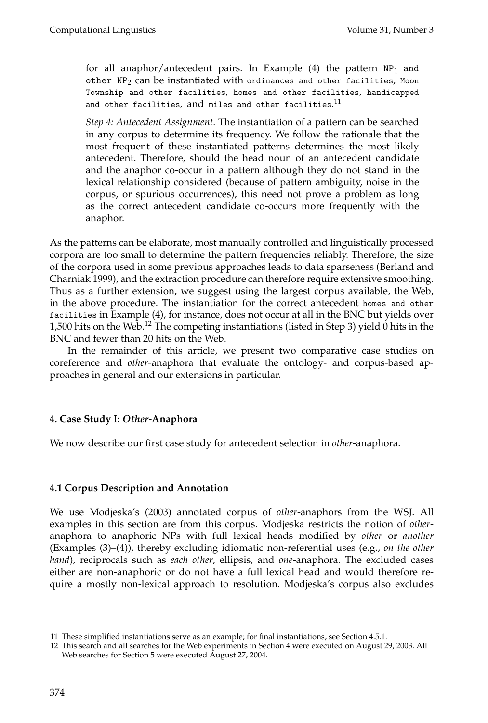for all anaphor/antecedent pairs. In Example (4) the pattern  $NP_1$  and other  $NP<sub>2</sub>$  can be instantiated with ordinances and other facilities, Moon Township and other facilities, homes and other facilities, handicapped and other facilities, and miles and other facilities. $^{11}$ 

*Step 4: Antecedent Assignment.* The instantiation of a pattern can be searched in any corpus to determine its frequency. We follow the rationale that the most frequent of these instantiated patterns determines the most likely antecedent. Therefore, should the head noun of an antecedent candidate and the anaphor co-occur in a pattern although they do not stand in the lexical relationship considered (because of pattern ambiguity, noise in the corpus, or spurious occurrences), this need not prove a problem as long as the correct antecedent candidate co-occurs more frequently with the anaphor.

As the patterns can be elaborate, most manually controlled and linguistically processed corpora are too small to determine the pattern frequencies reliably. Therefore, the size of the corpora used in some previous approaches leads to data sparseness (Berland and Charniak 1999), and the extraction procedure can therefore require extensive smoothing. Thus as a further extension, we suggest using the largest corpus available, the Web, in the above procedure. The instantiation for the correct antecedent homes and other facilities in Example (4), for instance, does not occur at all in the BNC but yields over 1,500 hits on the Web.<sup>12</sup> The competing instantiations (listed in Step 3) yield 0 hits in the BNC and fewer than 20 hits on the Web.

In the remainder of this article, we present two comparative case studies on coreference and *other-*anaphora that evaluate the ontology- and corpus-based approaches in general and our extensions in particular.

## **4. Case Study I:** *Other***-Anaphora**

We now describe our first case study for antecedent selection in *other*-anaphora.

### **4.1 Corpus Description and Annotation**

We use Modjeska's (2003) annotated corpus of *other*-anaphors from the WSJ. All examples in this section are from this corpus. Modjeska restricts the notion of *other*anaphora to anaphoric NPs with full lexical heads modified by *other* or *another* (Examples (3)–(4)), thereby excluding idiomatic non-referential uses (e.g., *on the other hand*), reciprocals such as *each other*, ellipsis, and *one*-anaphora. The excluded cases either are non-anaphoric or do not have a full lexical head and would therefore require a mostly non-lexical approach to resolution. Modjeska's corpus also excludes

<sup>11</sup> These simplified instantiations serve as an example; for final instantiations, see Section 4.5.1.

<sup>12</sup> This search and all searches for the Web experiments in Section 4 were executed on August 29, 2003. All Web searches for Section 5 were executed August 27, 2004.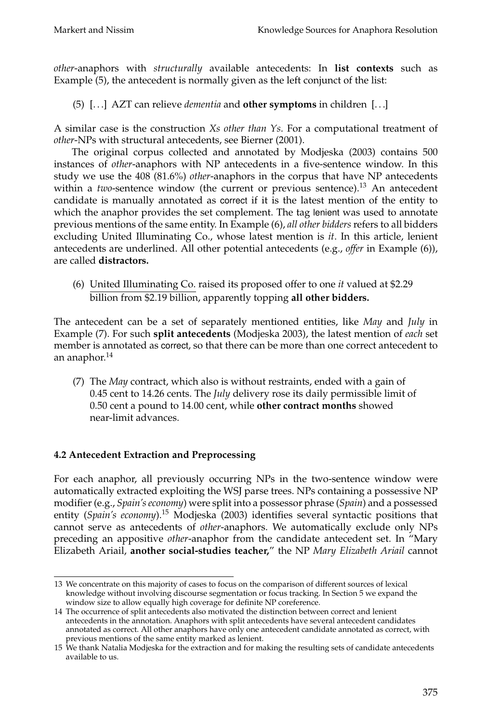*other*-anaphors with *structurally* available antecedents: In **list contexts** such as Example (5), the antecedent is normally given as the left conjunct of the list:

(5) [. . .] AZT can relieve *dementia* and **other symptoms** in children [. . .]

A similar case is the construction *Xs other than Ys*. For a computational treatment of *other*-NPs with structural antecedents, see Bierner (2001).

The original corpus collected and annotated by Modjeska (2003) contains 500 instances of *other*-anaphors with NP antecedents in a five-sentence window. In this study we use the 408 (81.6%) *other*-anaphors in the corpus that have NP antecedents within a *two*-sentence window (the current or previous sentence).<sup>13</sup> An antecedent candidate is manually annotated as correct if it is the latest mention of the entity to which the anaphor provides the set complement. The tag lenient was used to annotate previous mentions of the same entity. In Example (6), *all other bidders* refers to all bidders excluding United Illuminating Co., whose latest mention is *it*. In this article, lenient antecedents are underlined. All other potential antecedents (e.g., *offer* in Example (6)), are called **distractors.**

(6) United Illuminating Co. raised its proposed offer to one *it* valued at \$2.29 billion from \$2.19 billion, apparently topping **all other bidders.**

The antecedent can be a set of separately mentioned entities, like *May* and *July* in Example (7). For such **split antecedents** (Modjeska 2003), the latest mention of *each* set member is annotated as correct, so that there can be more than one correct antecedent to an anaphor.14

(7) The *May* contract, which also is without restraints, ended with a gain of 0.45 cent to 14.26 cents. The *July* delivery rose its daily permissible limit of 0.50 cent a pound to 14.00 cent, while **other contract months** showed near-limit advances.

# **4.2 Antecedent Extraction and Preprocessing**

For each anaphor, all previously occurring NPs in the two-sentence window were automatically extracted exploiting the WSJ parse trees. NPs containing a possessive NP modifier (e.g., *Spain's economy*) were split into a possessor phrase (*Spain*) and a possessed entity (*Spain's economy*).<sup>15</sup> Modjeska (2003) identifies several syntactic positions that cannot serve as antecedents of *other*-anaphors. We automatically exclude only NPs preceding an appositive *other*-anaphor from the candidate antecedent set. In "Mary Elizabeth Ariail, **another social-studies teacher,**" the NP *Mary Elizabeth Ariail* cannot

<sup>13</sup> We concentrate on this majority of cases to focus on the comparison of different sources of lexical knowledge without involving discourse segmentation or focus tracking. In Section 5 we expand the window size to allow equally high coverage for definite NP coreference.

<sup>14</sup> The occurrence of split antecedents also motivated the distinction between correct and lenient antecedents in the annotation. Anaphors with split antecedents have several antecedent candidates annotated as correct. All other anaphors have only one antecedent candidate annotated as correct, with previous mentions of the same entity marked as lenient.

<sup>15</sup> We thank Natalia Modjeska for the extraction and for making the resulting sets of candidate antecedents available to us.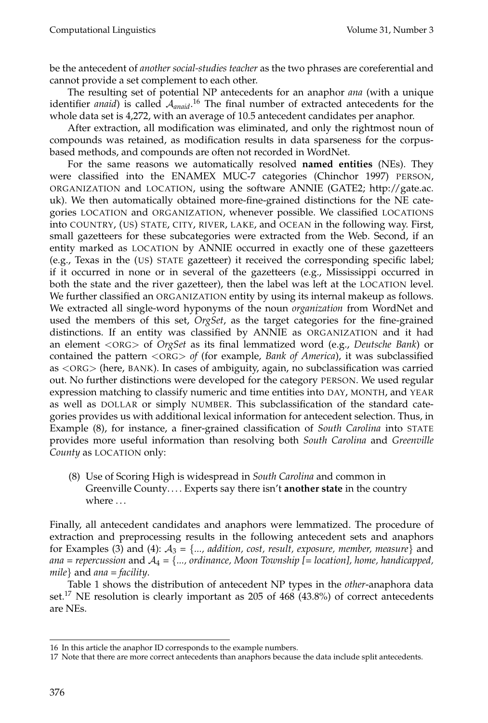be the antecedent of *another social-studies teacher* as the two phrases are coreferential and cannot provide a set complement to each other.

The resulting set of potential NP antecedents for an anaphor *ana* (with a unique identifier *anaid*) is called A*anaid*. <sup>16</sup> The final number of extracted antecedents for the whole data set is 4,272, with an average of 10.5 antecedent candidates per anaphor.

After extraction, all modification was eliminated, and only the rightmost noun of compounds was retained, as modification results in data sparseness for the corpusbased methods, and compounds are often not recorded in WordNet.

For the same reasons we automatically resolved **named entities** (NEs). They were classified into the ENAMEX MUC-7 categories (Chinchor 1997) PERSON, ORGANIZATION and LOCATION, using the software ANNIE (GATE2; http://gate.ac. uk). We then automatically obtained more-fine-grained distinctions for the NE categories LOCATION and ORGANIZATION, whenever possible. We classified LOCATIONS into COUNTRY, (US) STATE, CITY, RIVER, LAKE, and OCEAN in the following way. First, small gazetteers for these subcategories were extracted from the Web. Second, if an entity marked as LOCATION by ANNIE occurred in exactly one of these gazetteers (e.g., Texas in the (US) STATE gazetteer) it received the corresponding specific label; if it occurred in none or in several of the gazetteers (e.g., Mississippi occurred in both the state and the river gazetteer), then the label was left at the LOCATION level. We further classified an ORGANIZATION entity by using its internal makeup as follows. We extracted all single-word hyponyms of the noun *organization* from WordNet and used the members of this set, *OrgSet*, as the target categories for the fine-grained distinctions. If an entity was classified by ANNIE as ORGANIZATION and it had an element <ORG> of *OrgSet* as its final lemmatized word (e.g., *Deutsche Bank*) or contained the pattern <ORG> *of* (for example, *Bank of America*), it was subclassified as <ORG> (here, BANK). In cases of ambiguity, again, no subclassification was carried out. No further distinctions were developed for the category PERSON. We used regular expression matching to classify numeric and time entities into DAY, MONTH, and YEAR as well as DOLLAR or simply NUMBER. This subclassification of the standard categories provides us with additional lexical information for antecedent selection. Thus, in Example (8), for instance, a finer-grained classification of *South Carolina* into STATE provides more useful information than resolving both *South Carolina* and *Greenville County* as LOCATION only:

(8) Use of Scoring High is widespread in *South Carolina* and common in Greenville County....Experts say there isn't **another state** in the country where  $\dots$ 

Finally, all antecedent candidates and anaphors were lemmatized. The procedure of extraction and preprocessing results in the following antecedent sets and anaphors for Examples (3) and (4):  $A_3 = \{...$ , *addition*, *cost*, *result*, *exposure*, *member*, *measure*} and *ana* = *repercussion* and A<sup>4</sup> = {*..., ordinance, Moon Township [= location], home, handicapped, mile*} and *ana* = *facility*.

Table 1 shows the distribution of antecedent NP types in the *other*-anaphora data set.<sup>17</sup> NE resolution is clearly important as 205 of 468 (43.8%) of correct antecedents are NEs.

<sup>16</sup> In this article the anaphor ID corresponds to the example numbers.

<sup>17</sup> Note that there are more correct antecedents than anaphors because the data include split antecedents.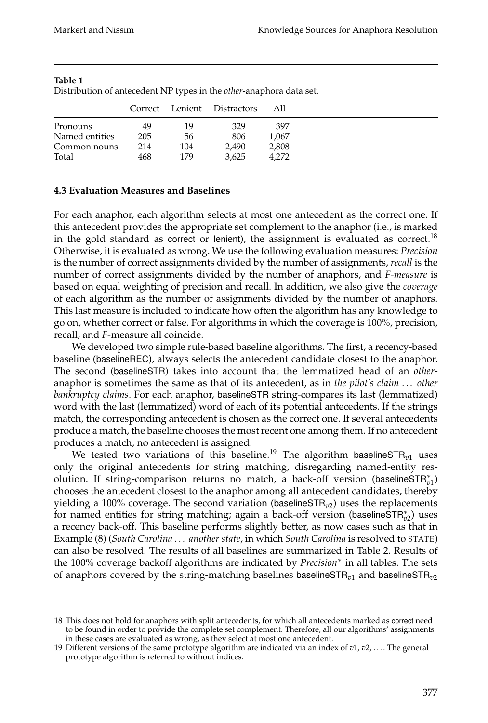|                | Correct |     | Lenient Distractors | All   |
|----------------|---------|-----|---------------------|-------|
| Pronouns       | 49      | 19  | 329                 | 397   |
| Named entities | 205     | 56  | 806                 | 1,067 |
| Common nouns   | 214     | 104 | 2.490               | 2,808 |
| Total          | 468     | 179 | 3.625               | 4.272 |

#### **Table 1**

Distribution of antecedent NP types in the *other*-anaphora data set.

#### **4.3 Evaluation Measures and Baselines**

For each anaphor, each algorithm selects at most one antecedent as the correct one. If this antecedent provides the appropriate set complement to the anaphor (i.e., is marked in the gold standard as correct or lenient), the assignment is evaluated as correct.<sup>18</sup> Otherwise, it is evaluated as wrong. We use the following evaluation measures: *Precision* is the number of correct assignments divided by the number of assignments, *recall* is the number of correct assignments divided by the number of anaphors, and *F-measure* is based on equal weighting of precision and recall. In addition, we also give the *coverage* of each algorithm as the number of assignments divided by the number of anaphors. This last measure is included to indicate how often the algorithm has any knowledge to go on, whether correct or false. For algorithms in which the coverage is 100%, precision, recall, and *F*-measure all coincide.

We developed two simple rule-based baseline algorithms. The first, a recency-based baseline (baselineREC), always selects the antecedent candidate closest to the anaphor. The second (baselineSTR) takes into account that the lemmatized head of an *other*anaphor is sometimes the same as that of its antecedent, as in *the pilot's claim . . . other bankruptcy claims*. For each anaphor, baselineSTR string-compares its last (lemmatized) word with the last (lemmatized) word of each of its potential antecedents. If the strings match, the corresponding antecedent is chosen as the correct one. If several antecedents produce a match, the baseline chooses the most recent one among them. If no antecedent produces a match, no antecedent is assigned.

We tested two variations of this baseline.<sup>19</sup> The algorithm baselineSTR<sub>*v*1</sub> uses only the original antecedents for string matching, disregarding named-entity resolution. If string-comparison returns no match, a back-off version (baselineSTR∗ *v*1) chooses the antecedent closest to the anaphor among all antecedent candidates, thereby yielding a 100% coverage. The second variation (baselineSTR*v*2) uses the replacements for named entities for string matching; again a back-off version (baselineSTR<sub>∛2</sub>) uses a recency back-off. This baseline performs slightly better, as now cases such as that in Example (8) (*South Carolina . . . another state*, in which *South Carolina* is resolved to STATE) can also be resolved. The results of all baselines are summarized in Table 2. Results of the 100% coverage backoff algorithms are indicated by *Precision*∗ in all tables. The sets of anaphors covered by the string-matching baselines baselineSTR*v*<sup>1</sup> and baselineSTR*v*<sup>2</sup>

<sup>18</sup> This does not hold for anaphors with split antecedents, for which all antecedents marked as correct need to be found in order to provide the complete set complement. Therefore, all our algorithms' assignments in these cases are evaluated as wrong, as they select at most one antecedent.

<sup>19</sup> Different versions of the same prototype algorithm are indicated via an index of *v*1, *v*2, . . . . The general prototype algorithm is referred to without indices.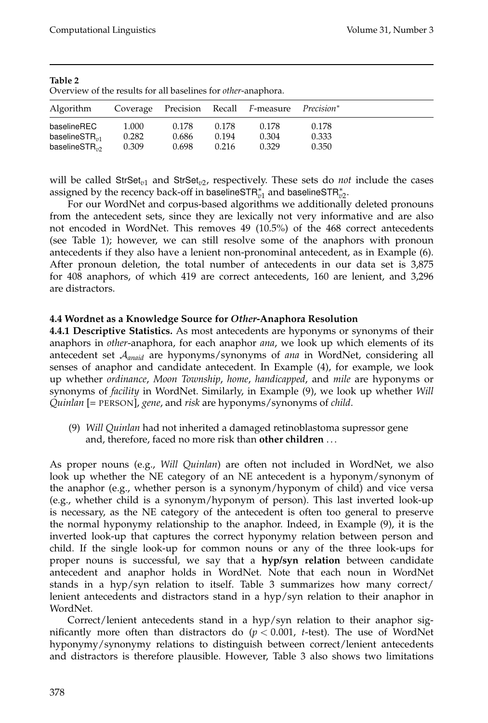| Overview of the results for all basemies for <i>unter</i> -anaphola. |       |       |       |                                             |            |
|----------------------------------------------------------------------|-------|-------|-------|---------------------------------------------|------------|
| Algorithm                                                            |       |       |       | Coverage Precision Recall <i>F</i> -measure | Precision* |
| baselineREC                                                          | 1.000 | 0.178 | 0.178 | 0.178                                       | 0.178      |
| baselineSTR <sub>71</sub>                                            | 0.282 | 0.686 | 0.194 | 0.304                                       | 0.333      |
| baseline $STR_{n2}$                                                  | 0.309 | 0.698 | 0.216 | 0.329                                       | 0.350      |

#### **Table 2** Overview of the results for all baselines for *other*-anaphora.

will be called StrSet*v*<sup>1</sup> and StrSet*v*2, respectively. These sets do *not* include the cases assigned by the recency back-off in baselineSTR $_{v1}^*$  and baselineSTR $_{v2}^*.$ 

For our WordNet and corpus-based algorithms we additionally deleted pronouns from the antecedent sets, since they are lexically not very informative and are also not encoded in WordNet. This removes 49 (10.5%) of the 468 correct antecedents (see Table 1); however, we can still resolve some of the anaphors with pronoun antecedents if they also have a lenient non-pronominal antecedent, as in Example (6). After pronoun deletion, the total number of antecedents in our data set is 3,875 for 408 anaphors, of which 419 are correct antecedents, 160 are lenient, and 3,296 are distractors.

## **4.4 Wordnet as a Knowledge Source for** *Other***-Anaphora Resolution**

**4.4.1 Descriptive Statistics.** As most antecedents are hyponyms or synonyms of their anaphors in *other*-anaphora, for each anaphor *ana*, we look up which elements of its antecedent set A*anaid* are hyponyms/synonyms of *ana* in WordNet, considering all senses of anaphor and candidate antecedent. In Example (4), for example, we look up whether *ordinance*, *Moon Township*, *home*, *handicapped*, and *mile* are hyponyms or synonyms of *facility* in WordNet. Similarly, in Example (9), we look up whether *Will Quinlan* [= PERSON], *gene*, and *risk* are hyponyms/synonyms of *child*.

(9) *Will Quinlan* had not inherited a damaged retinoblastoma supressor gene and, therefore, faced no more risk than **other children** ...

As proper nouns (e.g., *Will Quinlan*) are often not included in WordNet, we also look up whether the NE category of an NE antecedent is a hyponym/synonym of the anaphor (e.g., whether person is a synonym/hyponym of child) and vice versa (e.g., whether child is a synonym/hyponym of person). This last inverted look-up is necessary, as the NE category of the antecedent is often too general to preserve the normal hyponymy relationship to the anaphor. Indeed, in Example (9), it is the inverted look-up that captures the correct hyponymy relation between person and child. If the single look-up for common nouns or any of the three look-ups for proper nouns is successful, we say that a **hyp/syn relation** between candidate antecedent and anaphor holds in WordNet. Note that each noun in WordNet stands in a hyp/syn relation to itself. Table 3 summarizes how many correct/ lenient antecedents and distractors stand in a hyp/syn relation to their anaphor in WordNet.

Correct/lenient antecedents stand in a hyp/syn relation to their anaphor significantly more often than distractors do (*p* < 0.001, *t*-test). The use of WordNet hyponymy/synonymy relations to distinguish between correct/lenient antecedents and distractors is therefore plausible. However, Table 3 also shows two limitations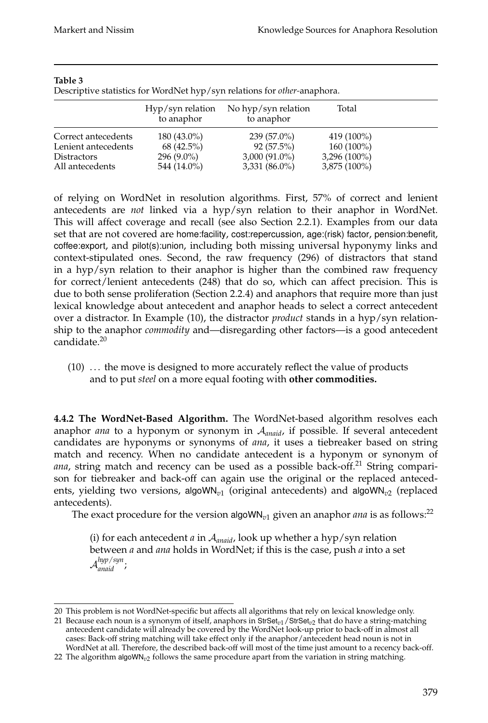| Hyp/syn relation<br>to anaphor | No hyp/syn relation<br>to anaphor | Total          |  |
|--------------------------------|-----------------------------------|----------------|--|
| 180 (43.0%)                    | $239(57.0\%)$                     | 419 (100%)     |  |
| $68(42.5\%)$                   | $92(57.5\%)$                      | $160(100\%)$   |  |
| $296(9.0\%)$                   | $3,000(91.0\%)$                   | $3,296(100\%)$ |  |
| 544 (14.0%)                    | $3,331 (86.0\%)$                  | $3,875(100\%)$ |  |
|                                |                                   |                |  |

#### **Table 3**

Descriptive statistics for WordNet hyp/syn relations for *other-*anaphora.

of relying on WordNet in resolution algorithms. First, 57% of correct and lenient antecedents are *not* linked via a hyp/syn relation to their anaphor in WordNet. This will affect coverage and recall (see also Section 2.2.1). Examples from our data set that are not covered are home:facility, cost:repercussion, age:(risk) factor, pension:benefit, coffee:export, and pilot(s):union, including both missing universal hyponymy links and context-stipulated ones. Second, the raw frequency (296) of distractors that stand in a hyp/syn relation to their anaphor is higher than the combined raw frequency for correct/lenient antecedents (248) that do so, which can affect precision. This is due to both sense proliferation (Section 2.2.4) and anaphors that require more than just lexical knowledge about antecedent and anaphor heads to select a correct antecedent over a distractor. In Example (10), the distractor *product* stands in a hyp/syn relationship to the anaphor *commodity* and—disregarding other factors—is a good antecedent candidate.20

(10) . . . the move is designed to more accurately reflect the value of products and to put *steel* on a more equal footing with **other commodities.**

**4.4.2 The WordNet-Based Algorithm.** The WordNet-based algorithm resolves each anaphor *ana* to a hyponym or synonym in A*anaid*, if possible. If several antecedent candidates are hyponyms or synonyms of *ana*, it uses a tiebreaker based on string match and recency. When no candidate antecedent is a hyponym or synonym of *ana*, string match and recency can be used as a possible back-off.<sup>21</sup> String comparison for tiebreaker and back-off can again use the original or the replaced antecedents, yielding two versions, algoWN<sub>*v*1</sub> (original antecedents) and algoWN<sub>*v*2</sub> (replaced antecedents).

The exact procedure for the version algoWN<sub>*v*1</sub> given an anaphor *ana* is as follows:<sup>22</sup>

(i) for each antecedent *a* in A*anaid*, look up whether a hyp/syn relation between *a* and *ana* holds in WordNet; if this is the case, push *a* into a set A*hyp*/*syn anaid* ;

<sup>20</sup> This problem is not WordNet-specific but affects all algorithms that rely on lexical knowledge only.

<sup>21</sup> Because each noun is a synonym of itself, anaphors in StrSet*v*1/StrSet*v*<sup>2</sup> that do have a string-matching antecedent candidate will already be covered by the WordNet look-up prior to back-off in almost all cases: Back-off string matching will take effect only if the anaphor/antecedent head noun is not in WordNet at all. Therefore, the described back-off will most of the time just amount to a recency back-off.

<sup>22</sup> The algorithm algoWN<sub>v2</sub> follows the same procedure apart from the variation in string matching.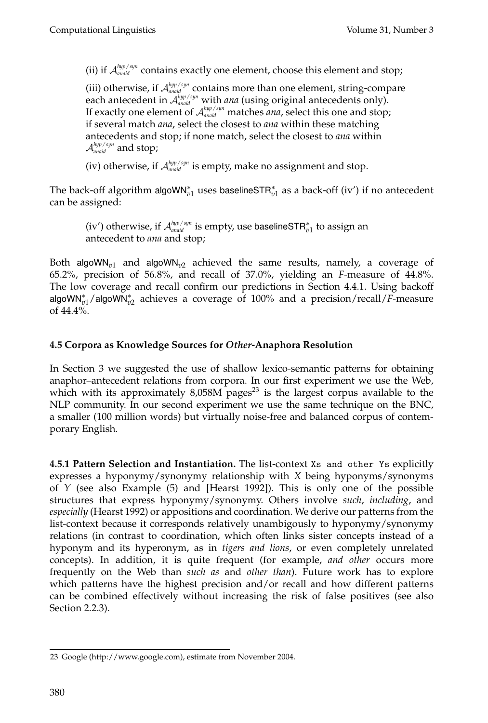(ii) if A*hyp*/*syn anaid* contains exactly one element, choose this element and stop;

(iii) otherwise, if  $\mathcal{A}_{analytic}^{hyp/syn}$  contains more than one element, string-compare each antecedent in  $\mathcal{A}_{\textit{anaid}}^{\textit{hyp/sym}}$  with *ana* (using original antecedents only). If exactly one element of  $\mathcal{A}_{\tiny{anaid}}^{\tiny{hyp/syn}}$  matches *ana*, select this one and stop; if several match *ana*, select the closest to *ana* within these matching antecedents and stop; if none match, select the closest to *ana* within A*hyp*/*syn anaid* and stop;

(iv) otherwise, if  $\mathcal{A}_{\textit{anaid}}^{\textit{hyp}/\textit{syn}}$  is empty, make no assignment and stop.

The back-off algorithm algoWN $_{v1}^*$  uses baselineSTR $_{v1}^*$  as a back-off (iv′) if no antecedent can be assigned:

(iv') otherwise, if  ${\cal A}^{{\textit{lnp}}/{\textit{syn}}}_{\textit{anaid}}$  is empty, use baselineSTR $^*_{v1}$  to assign an antecedent to *ana* and stop;

Both algoWN<sub>v1</sub> and algoWN<sub>v2</sub> achieved the same results, namely, a coverage of 65.2%, precision of 56.8%, and recall of 37.0%, yielding an *F*-measure of 44.8%. The low coverage and recall confirm our predictions in Section 4.4.1. Using backoff algoWN∗ *v*1/algoWN<sup>∗</sup> *<sup>v</sup>*<sup>2</sup> achieves a coverage of 100% and a precision/recall/*F*-measure of 44.4%.

# **4.5 Corpora as Knowledge Sources for** *Other***-Anaphora Resolution**

In Section 3 we suggested the use of shallow lexico-semantic patterns for obtaining anaphor–antecedent relations from corpora. In our first experiment we use the Web, which with its approximately  $8,058M$  pages<sup>23</sup> is the largest corpus available to the NLP community. In our second experiment we use the same technique on the BNC, a smaller (100 million words) but virtually noise-free and balanced corpus of contemporary English.

**4.5.1 Pattern Selection and Instantiation.** The list-context Xs and other Ys explicitly expresses a hyponymy/synonymy relationship with *X* being hyponyms/synonyms of *Y* (see also Example (5) and [Hearst 1992]). This is only one of the possible structures that express hyponymy/synonymy. Others involve *such*, *including*, and *especially* (Hearst 1992) or appositions and coordination. We derive our patterns from the list-context because it corresponds relatively unambigously to hyponymy/synonymy relations (in contrast to coordination, which often links sister concepts instead of a hyponym and its hyperonym, as in *tigers and lions*, or even completely unrelated concepts). In addition, it is quite frequent (for example, *and other* occurs more frequently on the Web than *such as* and *other than*). Future work has to explore which patterns have the highest precision and/or recall and how different patterns can be combined effectively without increasing the risk of false positives (see also Section 2.2.3).

<sup>23</sup> Google (http://www.google.com), estimate from November 2004.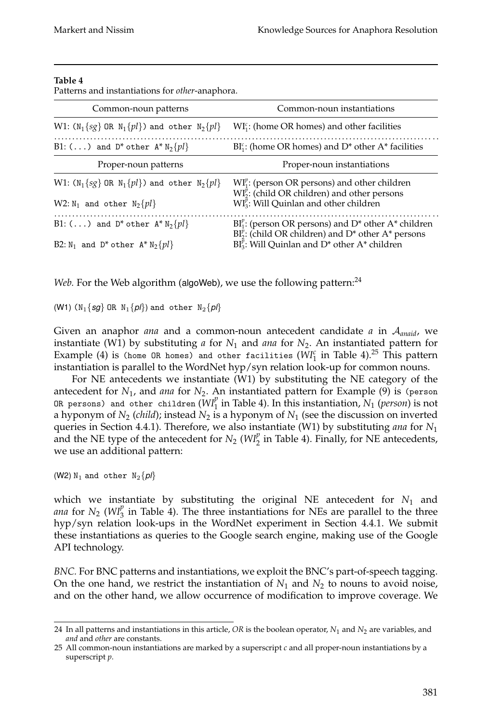#### **Table 4**

Patterns and instantiations for *other*-anaphora.

| Common-noun patterns                                   | Common-noun instantiations                                                                                                                                        |
|--------------------------------------------------------|-------------------------------------------------------------------------------------------------------------------------------------------------------------------|
| W1: $(N_1\{sg\}$ OR $N_1\{pl\})$ and other $N_2\{pl\}$ | $WIic$ : (home OR homes) and other facilities                                                                                                                     |
| B1: () and $D^*$ other $A^* N_2 \{pl\}$                | $BI_1^c$ : (home OR homes) and D <sup>*</sup> other A <sup>*</sup> facilities                                                                                     |
| Proper-noun patterns                                   | Proper-noun instantiations                                                                                                                                        |
| W1: $(N_1\{sg\}$ OR $N_1\{pl\})$ and other $N_2\{pl\}$ | $WI_1^{\nu}$ : (person OR persons) and other children<br>$WI_2^p$ : (child OR children) and other persons                                                         |
| W2: $N_1$ and other $N_2\{pl\}$                        | $WI_3^p$ : Will Quinlan and other children                                                                                                                        |
| B1: () and $D^*$ other $A^* N_2 \{pl\}$                | $BI_1^p$ : (person OR persons) and D <sup>*</sup> other A <sup>*</sup> children<br>$BI_2^p$ : (child OR children) and D <sup>*</sup> other A <sup>*</sup> persons |
| B2: $N_1$ and D <sup>*</sup> other $A^* N_2 \{pl\}$    | $BI_3^p$ : Will Quinlan and D <sup>*</sup> other A <sup>*</sup> children                                                                                          |

*Web*. For the Web algorithm (algoWeb), we use the following pattern:<sup>24</sup>

(W1) ( $N_1$ {*sg*} OR  $N_1$ { $\rho$ *l*}) and other  $N_2$ { $\rho$ *l*}

Given an anaphor *ana* and a common-noun antecedent candidate *a* in A*anaid*, we instantiate (W1) by substituting *a* for  $N_1$  and *ana* for  $N_2$ . An instantiated pattern for Example (4) is (home OR homes) and other facilities  $(WI_1^c$  in Table 4).<sup>25</sup> This pattern instantiation is parallel to the WordNet hyp/syn relation look-up for common nouns.

For NE antecedents we instantiate (W1) by substituting the NE category of the antecedent for  $N_1$ , and *ana* for  $N_2$ . An instantiated pattern for Example (9) is (person OR persons) and other children  $(WI_1^p$  in Table 4). In this instantiation,  $N_1$  (*person*) is not a hyponym of  $N_2$  (*child*); instead  $N_2$  is a hyponym of  $N_1$  (see the discussion on inverted queries in Section 4.4.1). Therefore, we also instantiate (W1) by substituting *ana* for *N*<sup>1</sup> and the NE type of the antecedent for  $N_2$  ( $WI_2^p$  in Table 4). Finally, for NE antecedents, we use an additional pattern:

(W2)  $N_1$  and other  $N_2$ { $\rho$ *l*}

which we instantiate by substituting the original NE antecedent for *N*<sup>1</sup> and *ana* for  $N_2$  ( $WI_3^p$  in Table 4). The three instantiations for NEs are parallel to the three hyp/syn relation look-ups in the WordNet experiment in Section 4.4.1. We submit these instantiations as queries to the Google search engine, making use of the Google API technology.

*BNC.* For BNC patterns and instantiations, we exploit the BNC's part-of-speech tagging. On the one hand, we restrict the instantiation of  $N_1$  and  $N_2$  to nouns to avoid noise, and on the other hand, we allow occurrence of modification to improve coverage. We

<sup>24</sup> In all patterns and instantiations in this article, *OR* is the boolean operator, *N*<sup>1</sup> and *N*<sup>2</sup> are variables, and *and* and *other* are constants.

<sup>25</sup> All common-noun instantiations are marked by a superscript *c* and all proper-noun instantiations by a superscript *p*.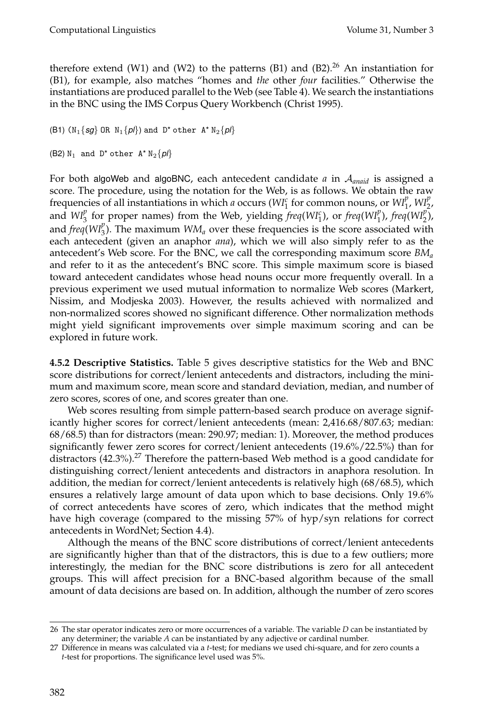therefore extend (W1) and (W2) to the patterns (B1) and (B2).<sup>26</sup> An instantiation for (B1), for example, also matches "homes and *the* other *four* facilities." Otherwise the instantiations are produced parallel to the Web (see Table 4). We search the instantiations in the BNC using the IMS Corpus Query Workbench (Christ 1995).

(B1)  $(N_1\{sg\}$  OR  $N_1\{pl\})$  and D<sup>\*</sup> other A<sup>\*</sup>  $N_2\{pl\}$ 

(B2)  $N_1$  and D<sup>\*</sup> other  $A^* N_2$ { $\rho l$ }

For both algoWeb and algoBNC, each antecedent candidate *a* in A*anaid* is assigned a score. The procedure, using the notation for the Web, is as follows. We obtain the raw frequencies of all instantiations in which *a* occurs ( $W_{1}^c$  for common nouns, or  $W_{1}^p$ ,  $W_{2}^p$ , and  $W1_2^p$  for proper names) from the Web, yielding *freq*( $W1_1^c$ ), or *freq*( $W1_1^p$ ), *freq*( $W1_2^p$ ), and *freq*( $WI_3^p$ ). The maximum  $WM_a$  over these frequencies is the score associated with each antecedent (given an anaphor *ana*), which we will also simply refer to as the antecedent's Web score. For the BNC, we call the corresponding maximum score *BMa* and refer to it as the antecedent's BNC score. This simple maximum score is biased toward antecedent candidates whose head nouns occur more frequently overall. In a previous experiment we used mutual information to normalize Web scores (Markert, Nissim, and Modjeska 2003). However, the results achieved with normalized and non-normalized scores showed no significant difference. Other normalization methods might yield significant improvements over simple maximum scoring and can be explored in future work.

**4.5.2 Descriptive Statistics.** Table 5 gives descriptive statistics for the Web and BNC score distributions for correct/lenient antecedents and distractors, including the minimum and maximum score, mean score and standard deviation, median, and number of zero scores, scores of one, and scores greater than one.

Web scores resulting from simple pattern-based search produce on average significantly higher scores for correct/lenient antecedents (mean: 2,416.68/807.63; median: 68/68.5) than for distractors (mean: 290.97; median: 1). Moreover, the method produces significantly fewer zero scores for correct/lenient antecedents (19.6%/22.5%) than for distractors (42.3%).27 Therefore the pattern-based Web method is a good candidate for distinguishing correct/lenient antecedents and distractors in anaphora resolution. In addition, the median for correct/lenient antecedents is relatively high (68/68.5), which ensures a relatively large amount of data upon which to base decisions. Only 19.6% of correct antecedents have scores of zero, which indicates that the method might have high coverage (compared to the missing 57% of hyp/syn relations for correct antecedents in WordNet; Section 4.4).

Although the means of the BNC score distributions of correct/lenient antecedents are significantly higher than that of the distractors, this is due to a few outliers; more interestingly, the median for the BNC score distributions is zero for all antecedent groups. This will affect precision for a BNC-based algorithm because of the small amount of data decisions are based on. In addition, although the number of zero scores

<sup>26</sup> The star operator indicates zero or more occurrences of a variable. The variable *D* can be instantiated by any determiner; the variable *A* can be instantiated by any adjective or cardinal number.

<sup>27</sup> Difference in means was calculated via a *t*-test; for medians we used chi-square, and for zero counts a *t*-test for proportions. The significance level used was 5%.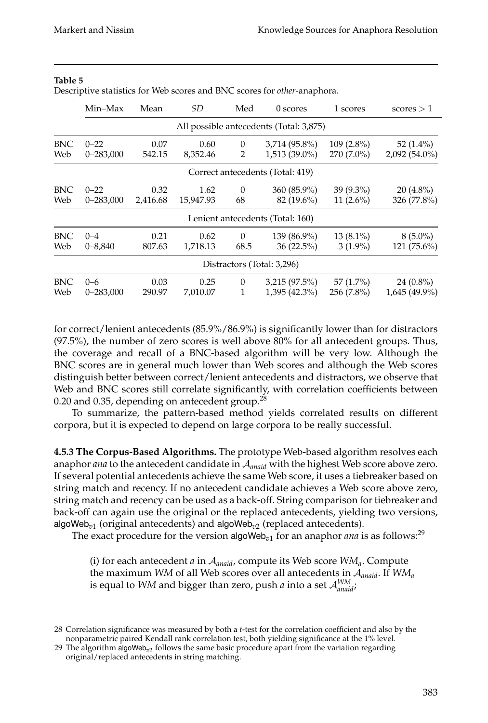|                   | Min–Max                   | Mean             | SD                | Med              | 0 scores                                | 1 scores                    | scores > 1                      |
|-------------------|---------------------------|------------------|-------------------|------------------|-----------------------------------------|-----------------------------|---------------------------------|
|                   |                           |                  |                   |                  | All possible antecedents (Total: 3,875) |                             |                                 |
| BNC<br>Web        | $0 - 22$<br>$0 - 283,000$ | 0.07<br>542.15   | 0.60<br>8,352.46  | $\theta$<br>2    | 3,714 (95.8%)<br>$1,513(39.0\%)$        | $109(2.8\%)$<br>270 (7.0%)  | 52 $(1.4\%)$<br>$2,092(54.0\%)$ |
|                   |                           |                  |                   |                  | Correct antecedents (Total: 419)        |                             |                                 |
| <b>BNC</b><br>Web | $0 - 22$<br>$0 - 283,000$ | 0.32<br>2,416.68 | 1.62<br>15,947.93 | $\theta$<br>68   | 360 (85.9%)<br>82 (19.6%)               | $39(9.3\%)$<br>11 $(2.6\%)$ | $20(4.8\%)$<br>326 (77.8%)      |
|                   |                           |                  |                   |                  | Lenient antecedents (Total: 160)        |                             |                                 |
| <b>BNC</b><br>Web | $0 - 4$<br>$0 - 8,840$    | 0.21<br>807.63   | 0.62<br>1,718.13  | $\theta$<br>68.5 | 139 (86.9%)<br>36(22.5%)                | $13(8.1\%)$<br>$3(1.9\%)$   | $8(5.0\%)$<br>$121(75.6\%)$     |
|                   |                           |                  |                   |                  | Distractors (Total: 3,296)              |                             |                                 |
| <b>BNC</b><br>Web | $0 - 6$<br>$0 - 283,000$  | 0.03<br>290.97   | 0.25<br>7,010.07  | $\theta$         | $3,215(97.5\%)$<br>$1,395(42.3\%)$      | 57 (1.7%)<br>$256(7.8\%)$   | $24(0.8\%)$<br>$1,645(49.9\%)$  |

#### **Table 5**

Descriptive statistics for Web scores and BNC scores for *other-*anaphora.

for correct/lenient antecedents (85.9%/86.9%) is significantly lower than for distractors (97.5%), the number of zero scores is well above 80% for all antecedent groups. Thus, the coverage and recall of a BNC-based algorithm will be very low. Although the BNC scores are in general much lower than Web scores and although the Web scores distinguish better between correct/lenient antecedents and distractors, we observe that Web and BNC scores still correlate significantly, with correlation coefficients between 0.20 and 0.35, depending on antecedent group. $^{28}$ 

To summarize, the pattern-based method yields correlated results on different corpora, but it is expected to depend on large corpora to be really successful.

**4.5.3 The Corpus-Based Algorithms.** The prototype Web-based algorithm resolves each anaphor *ana* to the antecedent candidate in A*anaid* with the highest Web score above zero. If several potential antecedents achieve the same Web score, it uses a tiebreaker based on string match and recency. If no antecedent candidate achieves a Web score above zero, string match and recency can be used as a back-off. String comparison for tiebreaker and back-off can again use the original or the replaced antecedents, yielding two versions, algoWeb<sub>*v*1</sub> (original antecedents) and algoWeb<sub>*v2*</sub> (replaced antecedents).

The exact procedure for the version algoWeb<sub>*v*1</sub> for an anaphor *ana* is as follows:<sup>29</sup>

(i) for each antecedent *a* in A*anaid*, compute its Web score *WMa*. Compute the maximum *WM* of all Web scores over all antecedents in A*anaid*. If *WMa* is equal to *WM* and bigger than zero, push *a* into a set  $\mathcal{A}_{anaid}^{WM}$  .

<sup>28</sup> Correlation significance was measured by both a *t*-test for the correlation coefficient and also by the nonparametric paired Kendall rank correlation test, both yielding significance at the 1% level.

<sup>29</sup> The algorithm algoWeb*v*<sup>2</sup> follows the same basic procedure apart from the variation regarding original/replaced antecedents in string matching.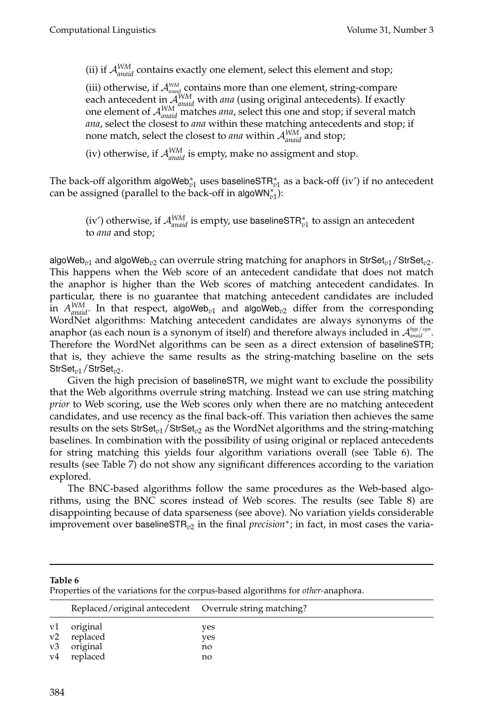(ii) if  $A_{anaid}^{WM}$  contains exactly one element, select this element and stop;

(iii) otherwise, if  $\mathcal{A}_{\textit{anaid}}^{\textit{WM}}$  contains more than one element, string-compare each antecedent in A*WM anaid* with *ana* (using original antecedents). If exactly one element of A*WM anaid* matches *ana*, select this one and stop; if several match *ana*, select the closest to *ana* within these matching antecedents and stop; if none match, select the closest to *ana* within A*WM anaid* and stop;

(iv) otherwise, if  $A_{\text{anaid}}^{\text{WM}}$  is empty, make no assigment and stop.

The back-off algorithm algoWeb $_{v1}^\ast$  uses baselineSTR $_{v1}^\ast$  as a back-off (iv′) if no antecedent can be assigned (parallel to the back-off in algoWN∗ *<sup>v</sup>*1):

(iv') otherwise, if  ${\cal A}^{WM}_{anaid}$  is empty, use baselineSTR $_{v1}^*$  to assign an antecedent to *ana* and stop;

algoWeb*v*<sup>1</sup> and algoWeb*v*<sup>2</sup> can overrule string matching for anaphors in StrSet*v*1/StrSet*v*2. This happens when the Web score of an antecedent candidate that does not match the anaphor is higher than the Web scores of matching antecedent candidates. In particular, there is no guarantee that matching antecedent candidates are included in  $A_{anaid}^{WM}$ . In that respect, algoWeb<sub>*v*1</sub> and algoWeb<sub>*v*2</sub> differ from the corresponding WordNet algorithms: Matching antecedent candidates are always synonyms of the anaphor (as each noun is a synonym of itself) and therefore always included in  $\mathcal{A}_{anaid}^{hyp/syn}$ . Therefore the WordNet algorithms can be seen as a direct extension of baselineSTR; that is, they achieve the same results as the string-matching baseline on the sets StrSet*v*1/StrSet*v*2.

Given the high precision of baselineSTR, we might want to exclude the possibility that the Web algorithms overrule string matching. Instead we can use string matching *prior* to Web scoring, use the Web scores only when there are no matching antecedent candidates, and use recency as the final back-off. This variation then achieves the same results on the sets StrSet*v*1/StrSet*v*<sup>2</sup> as the WordNet algorithms and the string-matching baselines. In combination with the possibility of using original or replaced antecedents for string matching this yields four algorithm variations overall (see Table 6). The results (see Table 7) do not show any significant differences according to the variation explored.

The BNC-based algorithms follow the same procedures as the Web-based algorithms, using the BNC scores instead of Web scores. The results (see Table 8) are disappointing because of data sparseness (see above). No variation yields considerable improvement over baselineSTR*v*<sup>2</sup> in the final *precision*∗; in fact, in most cases the varia-

#### **Table 6**

Properties of the variations for the corpus-based algorithms for *other-*anaphora.

| Replaced/original antecedent Overrule string matching? |                  |
|--------------------------------------------------------|------------------|
| v1 original<br>v2 replaced<br>v3 original              | yes<br>yes<br>no |
| v <sub>4</sub> replaced                                | no               |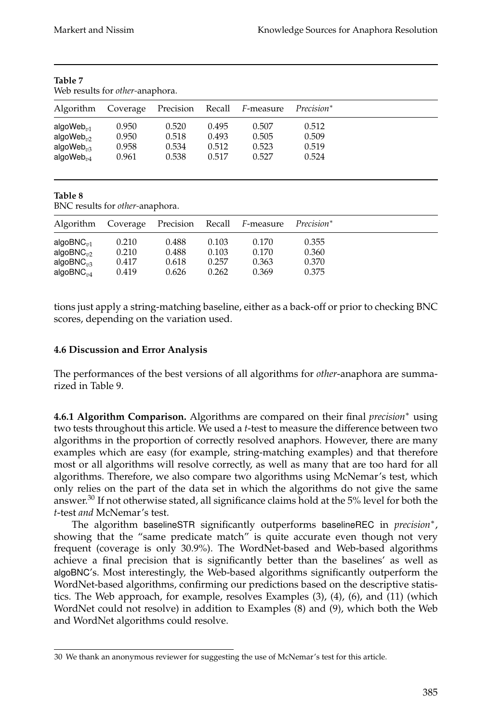| Coverage |       |       |                  | Precision <sup>*</sup>                                |  |
|----------|-------|-------|------------------|-------------------------------------------------------|--|
| 0.950    | 0.520 | 0.495 | 0.507            | 0.512                                                 |  |
| 0.950    | 0.518 | 0.493 | 0.505            | 0.509                                                 |  |
| 0.958    | 0.534 | 0.512 | 0.523            | 0.519                                                 |  |
| 0.961    | 0.538 | 0.517 | 0.527            | 0.524                                                 |  |
|          |       |       | Precision Recall | <u>rico icounto ioi villa unuprioru.</u><br>F-measure |  |

#### **Table 7**

Web results for *other-*anaphora.

# **Table 8**

| BNC results for <i>other</i> -anaphora. |  |  |  |
|-----------------------------------------|--|--|--|
|-----------------------------------------|--|--|--|

| Algorithm                | Coverage | Precision | Recall | F-measure | Precision <sup>*</sup> |
|--------------------------|----------|-----------|--------|-----------|------------------------|
| algoBN $C_{n1}$          | 0.210    | 0.488     | 0.103  | 0.170     | 0.355                  |
| algoBN $C_{n2}$          | 0.210    | 0.488     | 0.103  | 0.170     | 0.360                  |
| algoBN $C_{n3}$          | 0.417    | 0.618     | 0.257  | 0.363     | 0.370                  |
| algoBN $C_{\tau\Lambda}$ | 0.419    | 0.626     | 0.262  | 0.369     | 0.375                  |

tions just apply a string-matching baseline, either as a back-off or prior to checking BNC scores, depending on the variation used.

## **4.6 Discussion and Error Analysis**

The performances of the best versions of all algorithms for *other*-anaphora are summarized in Table 9.

**4.6.1 Algorithm Comparison.** Algorithms are compared on their final *precision*∗ using two tests throughout this article. We used a *t*-test to measure the difference between two algorithms in the proportion of correctly resolved anaphors. However, there are many examples which are easy (for example, string-matching examples) and that therefore most or all algorithms will resolve correctly, as well as many that are too hard for all algorithms. Therefore, we also compare two algorithms using McNemar's test, which only relies on the part of the data set in which the algorithms do not give the same answer.<sup>30</sup> If not otherwise stated, all significance claims hold at the 5% level for both the *t*-test *and* McNemar's test.

The algorithm baselineSTR significantly outperforms baselineREC in *precision*∗, showing that the "same predicate match" is quite accurate even though not very frequent (coverage is only 30.9%). The WordNet-based and Web-based algorithms achieve a final precision that is significantly better than the baselines' as well as algoBNC's. Most interestingly, the Web-based algorithms significantly outperform the WordNet-based algorithms, confirming our predictions based on the descriptive statistics. The Web approach, for example, resolves Examples (3), (4), (6), and (11) (which WordNet could not resolve) in addition to Examples (8) and (9), which both the Web and WordNet algorithms could resolve.

<sup>30</sup> We thank an anonymous reviewer for suggesting the use of McNemar's test for this article.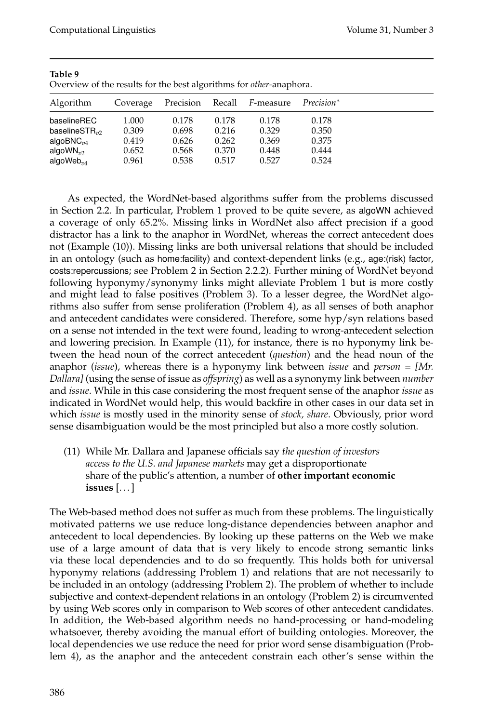| Algorithm                 | Coverage | Precision | Recall | <i>F</i> -measure | Precision <sup>*</sup> |
|---------------------------|----------|-----------|--------|-------------------|------------------------|
| baselineREC               | 1.000    | 0.178     | 0.178  | 0.178             | 0.178                  |
| baselineSTR <sub>77</sub> | 0.309    | 0.698     | 0.216  | 0.329             | 0.350                  |
| algoBN $C_{n4}$           | 0.419    | 0.626     | 0.262  | 0.369             | 0.375                  |
| algoWN $_{22}$            | 0.652    | 0.568     | 0.370  | 0.448             | 0.444                  |
| algoWeb $_{74}$           | 0.961    | 0.538     | 0.517  | 0.527             | 0.524                  |

**Table 9** Overview of the results for the best algorithms for *other-*anaphora.

As expected, the WordNet-based algorithms suffer from the problems discussed in Section 2.2. In particular, Problem 1 proved to be quite severe, as algoWN achieved a coverage of only 65.2%. Missing links in WordNet also affect precision if a good distractor has a link to the anaphor in WordNet, whereas the correct antecedent does not (Example (10)). Missing links are both universal relations that should be included in an ontology (such as home:facility) and context-dependent links (e.g., age:(risk) factor, costs:repercussions; see Problem 2 in Section 2.2.2). Further mining of WordNet beyond following hyponymy/synonymy links might alleviate Problem 1 but is more costly and might lead to false positives (Problem 3). To a lesser degree, the WordNet algorithms also suffer from sense proliferation (Problem 4), as all senses of both anaphor and antecedent candidates were considered. Therefore, some hyp/syn relations based on a sense not intended in the text were found, leading to wrong-antecedent selection and lowering precision. In Example (11), for instance, there is no hyponymy link between the head noun of the correct antecedent (*question*) and the head noun of the anaphor (*issue*), whereas there is a hyponymy link between *issue* and *person = [Mr. Dallara]* (using the sense of issue as *offspring*) as well as a synonymy link between *number* and *issue*. While in this case considering the most frequent sense of the anaphor *issue* as indicated in WordNet would help, this would backfire in other cases in our data set in which *issue* is mostly used in the minority sense of *stock, share*. Obviously, prior word sense disambiguation would be the most principled but also a more costly solution.

(11) While Mr. Dallara and Japanese officials say *the question of investors access to the U.S. and Japanese markets* may get a disproportionate share of the public's attention, a number of **other important economic issues** [. . . ]

The Web-based method does not suffer as much from these problems. The linguistically motivated patterns we use reduce long-distance dependencies between anaphor and antecedent to local dependencies. By looking up these patterns on the Web we make use of a large amount of data that is very likely to encode strong semantic links via these local dependencies and to do so frequently. This holds both for universal hyponymy relations (addressing Problem 1) and relations that are not necessarily to be included in an ontology (addressing Problem 2). The problem of whether to include subjective and context-dependent relations in an ontology (Problem 2) is circumvented by using Web scores only in comparison to Web scores of other antecedent candidates. In addition, the Web-based algorithm needs no hand-processing or hand-modeling whatsoever, thereby avoiding the manual effort of building ontologies. Moreover, the local dependencies we use reduce the need for prior word sense disambiguation (Problem 4), as the anaphor and the antecedent constrain each other's sense within the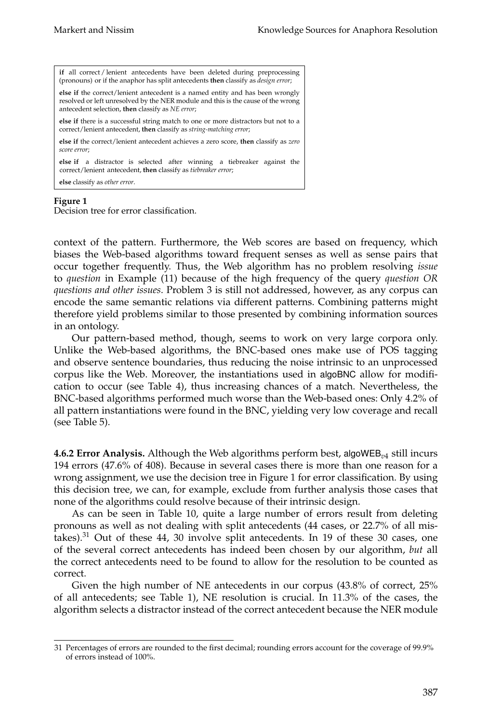

#### **Figure 1**

Decision tree for error classification.

context of the pattern. Furthermore, the Web scores are based on frequency, which biases the Web-based algorithms toward frequent senses as well as sense pairs that occur together frequently. Thus, the Web algorithm has no problem resolving *issue* to *question* in Example (11) because of the high frequency of the query *question OR questions and other issues*. Problem 3 is still not addressed, however, as any corpus can encode the same semantic relations via different patterns. Combining patterns might therefore yield problems similar to those presented by combining information sources in an ontology.

Our pattern-based method, though, seems to work on very large corpora only. Unlike the Web-based algorithms, the BNC-based ones make use of POS tagging and observe sentence boundaries, thus reducing the noise intrinsic to an unprocessed corpus like the Web. Moreover, the instantiations used in algoBNC allow for modification to occur (see Table 4), thus increasing chances of a match. Nevertheless, the BNC-based algorithms performed much worse than the Web-based ones: Only 4.2% of all pattern instantiations were found in the BNC, yielding very low coverage and recall (see Table 5).

**4.6.2 Error Analysis.** Although the Web algorithms perform best, algoWEB*v*<sup>4</sup> still incurs 194 errors (47.6% of 408). Because in several cases there is more than one reason for a wrong assignment, we use the decision tree in Figure 1 for error classification. By using this decision tree, we can, for example, exclude from further analysis those cases that none of the algorithms could resolve because of their intrinsic design.

As can be seen in Table 10, quite a large number of errors result from deleting pronouns as well as not dealing with split antecedents (44 cases, or 22.7% of all mistakes).<sup>31</sup> Out of these 44, 30 involve split antecedents. In 19 of these 30 cases, one of the several correct antecedents has indeed been chosen by our algorithm, *but* all the correct antecedents need to be found to allow for the resolution to be counted as correct.

Given the high number of NE antecedents in our corpus (43.8% of correct, 25% of all antecedents; see Table 1), NE resolution is crucial. In 11.3% of the cases, the algorithm selects a distractor instead of the correct antecedent because the NER module

<sup>31</sup> Percentages of errors are rounded to the first decimal; rounding errors account for the coverage of 99.9% of errors instead of 100%.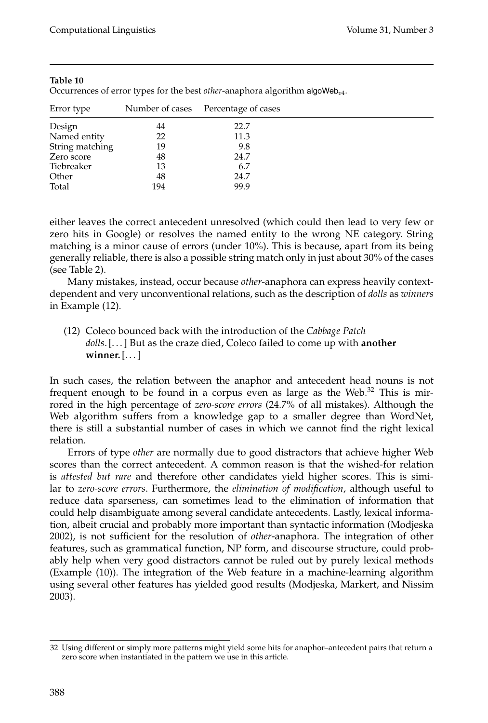| Error type      |     | Number of cases Percentage of cases |  |
|-----------------|-----|-------------------------------------|--|
| Design          | 44  | 22.7                                |  |
| Named entity    | 22  | 11.3                                |  |
| String matching | 19  | 9.8                                 |  |
| Zero score      | 48  | 24.7                                |  |
| Tiebreaker      | 13  | 6.7                                 |  |
| Other           | 48  | 24.7                                |  |
| Total           | 194 | 99.9                                |  |
|                 |     |                                     |  |

#### **Table 10**

Occurrences of error types for the best *other*-anaphora algorithm algoWeb<sub>*v*4</sub>.

either leaves the correct antecedent unresolved (which could then lead to very few or zero hits in Google) or resolves the named entity to the wrong NE category. String matching is a minor cause of errors (under 10%). This is because, apart from its being generally reliable, there is also a possible string match only in just about 30% of the cases (see Table 2).

Many mistakes, instead, occur because *other*-anaphora can express heavily contextdependent and very unconventional relations, such as the description of *dolls* as *winners* in Example (12).

(12) Coleco bounced back with the introduction of the *Cabbage Patch dolls*. [. . . ] But as the craze died, Coleco failed to come up with **another winner.**[. . . ]

In such cases, the relation between the anaphor and antecedent head nouns is not frequent enough to be found in a corpus even as large as the Web.<sup>32</sup> This is mirrored in the high percentage of *zero-score errors* (24.7% of all mistakes). Although the Web algorithm suffers from a knowledge gap to a smaller degree than WordNet, there is still a substantial number of cases in which we cannot find the right lexical relation.

Errors of type *other* are normally due to good distractors that achieve higher Web scores than the correct antecedent. A common reason is that the wished-for relation is *attested but rare* and therefore other candidates yield higher scores. This is similar to *zero-score errors*. Furthermore, the *elimination of modification*, although useful to reduce data sparseness, can sometimes lead to the elimination of information that could help disambiguate among several candidate antecedents. Lastly, lexical information, albeit crucial and probably more important than syntactic information (Modjeska 2002), is not sufficient for the resolution of *other*-anaphora. The integration of other features, such as grammatical function, NP form, and discourse structure, could probably help when very good distractors cannot be ruled out by purely lexical methods (Example (10)). The integration of the Web feature in a machine-learning algorithm using several other features has yielded good results (Modjeska, Markert, and Nissim 2003).

<sup>32</sup> Using different or simply more patterns might yield some hits for anaphor–antecedent pairs that return a zero score when instantiated in the pattern we use in this article.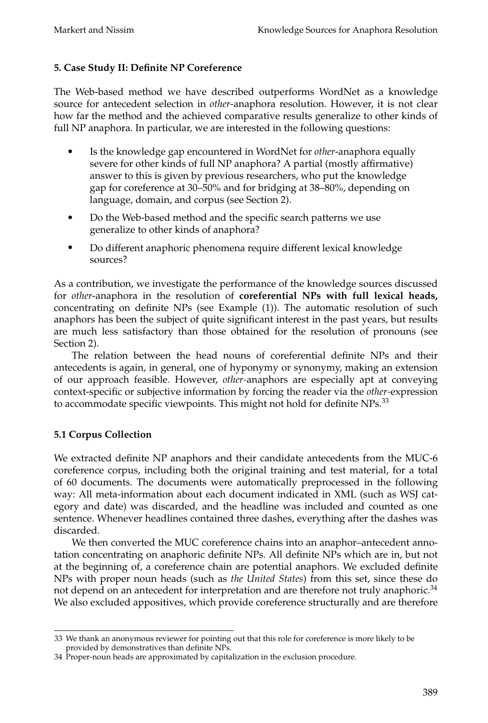# **5. Case Study II: Definite NP Coreference**

The Web-based method we have described outperforms WordNet as a knowledge source for antecedent selection in *other*-anaphora resolution. However, it is not clear how far the method and the achieved comparative results generalize to other kinds of full NP anaphora. In particular, we are interested in the following questions:

- Is the knowledge gap encountered in WordNet for *other*-anaphora equally severe for other kinds of full NP anaphora? A partial (mostly affirmative) answer to this is given by previous researchers, who put the knowledge gap for coreference at 30–50% and for bridging at 38–80%, depending on language, domain, and corpus (see Section 2).
- Do the Web-based method and the specific search patterns we use generalize to other kinds of anaphora?
- Do different anaphoric phenomena require different lexical knowledge sources?

As a contribution, we investigate the performance of the knowledge sources discussed for *other*-anaphora in the resolution of **coreferential NPs with full lexical heads,** concentrating on definite NPs (see Example (1)). The automatic resolution of such anaphors has been the subject of quite significant interest in the past years, but results are much less satisfactory than those obtained for the resolution of pronouns (see Section 2).

The relation between the head nouns of coreferential definite NPs and their antecedents is again, in general, one of hyponymy or synonymy, making an extension of our approach feasible. However, *other-*anaphors are especially apt at conveying context-specific or subjective information by forcing the reader via the *other-*expression to accommodate specific viewpoints. This might not hold for definite NPs.<sup>33</sup>

# **5.1 Corpus Collection**

We extracted definite NP anaphors and their candidate antecedents from the MUC-6 coreference corpus, including both the original training and test material, for a total of 60 documents. The documents were automatically preprocessed in the following way: All meta-information about each document indicated in XML (such as WSJ category and date) was discarded, and the headline was included and counted as one sentence. Whenever headlines contained three dashes, everything after the dashes was discarded.

We then converted the MUC coreference chains into an anaphor–antecedent annotation concentrating on anaphoric definite NPs. All definite NPs which are in, but not at the beginning of, a coreference chain are potential anaphors. We excluded definite NPs with proper noun heads (such as *the United States*) from this set, since these do not depend on an antecedent for interpretation and are therefore not truly anaphoric.<sup>34</sup> We also excluded appositives, which provide coreference structurally and are therefore

<sup>33</sup> We thank an anonymous reviewer for pointing out that this role for coreference is more likely to be provided by demonstratives than definite NPs.

<sup>34</sup> Proper-noun heads are approximated by capitalization in the exclusion procedure.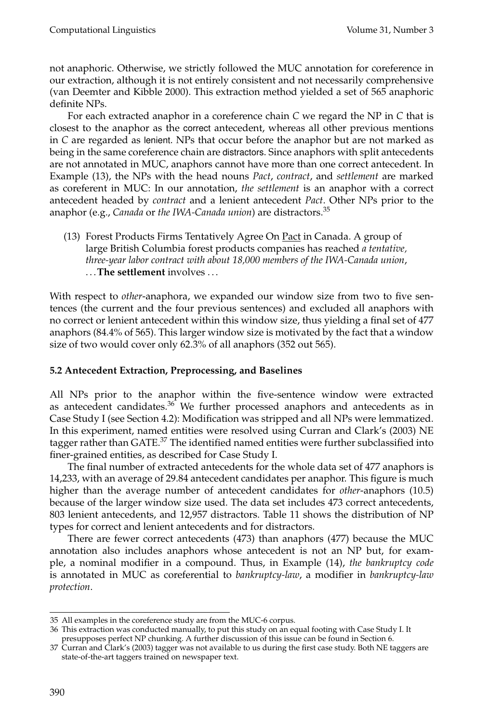not anaphoric. Otherwise, we strictly followed the MUC annotation for coreference in our extraction, although it is not entirely consistent and not necessarily comprehensive (van Deemter and Kibble 2000). This extraction method yielded a set of 565 anaphoric definite NPs.

For each extracted anaphor in a coreference chain *C* we regard the NP in *C* that is closest to the anaphor as the correct antecedent, whereas all other previous mentions in *C* are regarded as lenient. NPs that occur before the anaphor but are not marked as being in the same coreference chain are distractors. Since anaphors with split antecedents are not annotated in MUC, anaphors cannot have more than one correct antecedent. In Example (13), the NPs with the head nouns *Pact*, *contract*, and *settlement* are marked as coreferent in MUC: In our annotation, *the settlement* is an anaphor with a correct antecedent headed by *contract* and a lenient antecedent *Pact*. Other NPs prior to the anaphor (e.g., *Canada* or *the IWA-Canada union*) are distractors.35

(13) Forest Products Firms Tentatively Agree On Pact in Canada. A group of large British Columbia forest products companies has reached *a tentative, three-year labor contract with about 18,000 members of the IWA-Canada union*, ...**The settlement** involves . . .

With respect to *other*-anaphora, we expanded our window size from two to five sentences (the current and the four previous sentences) and excluded all anaphors with no correct or lenient antecedent within this window size, thus yielding a final set of 477 anaphors (84.4% of 565). This larger window size is motivated by the fact that a window size of two would cover only 62.3% of all anaphors (352 out 565).

## **5.2 Antecedent Extraction, Preprocessing, and Baselines**

All NPs prior to the anaphor within the five-sentence window were extracted as antecedent candidates. $36$  We further processed anaphors and antecedents as in Case Study I (see Section 4.2): Modification was stripped and all NPs were lemmatized. In this experiment, named entities were resolved using Curran and Clark's (2003) NE tagger rather than GATE.<sup>37</sup> The identified named entities were further subclassified into finer-grained entities, as described for Case Study I.

The final number of extracted antecedents for the whole data set of 477 anaphors is 14,233, with an average of 29.84 antecedent candidates per anaphor. This figure is much higher than the average number of antecedent candidates for *other*-anaphors (10.5) because of the larger window size used. The data set includes 473 correct antecedents, 803 lenient antecedents, and 12,957 distractors. Table 11 shows the distribution of NP types for correct and lenient antecedents and for distractors.

There are fewer correct antecedents (473) than anaphors (477) because the MUC annotation also includes anaphors whose antecedent is not an NP but, for example, a nominal modifier in a compound. Thus, in Example (14), *the bankruptcy code* is annotated in MUC as coreferential to *bankruptcy-law*, a modifier in *bankruptcy-law protection*.

<sup>35</sup> All examples in the coreference study are from the MUC-6 corpus.

<sup>36</sup> This extraction was conducted manually, to put this study on an equal footing with Case Study I. It presupposes perfect NP chunking. A further discussion of this issue can be found in Section 6.

<sup>37</sup> Curran and Clark's (2003) tagger was not available to us during the first case study. Both NE taggers are state-of-the-art taggers trained on newspaper text.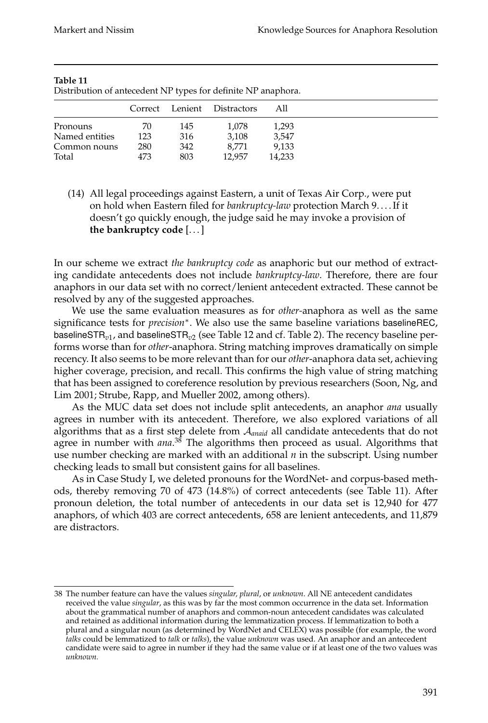|                | Correct | Lenient | <b>Distractors</b> | All    |
|----------------|---------|---------|--------------------|--------|
| Pronouns       | 70      | 145     | 1,078              | 1,293  |
| Named entities | 123     | 316     | 3,108              | 3,547  |
| Common nouns   | 280     | 342     | 8.771              | 9.133  |
| Total          | 473     | 803     | 12.957             | 14.233 |

#### **Table 11** Distribution of antecedent NP types for definite NP anaphora.

(14) All legal proceedings against Eastern, a unit of Texas Air Corp., were put on hold when Eastern filed for *bankruptcy-law* protection March 9. . . . If it doesn't go quickly enough, the judge said he may invoke a provision of **the bankruptcy code** [. . . ]

In our scheme we extract *the bankruptcy code* as anaphoric but our method of extracting candidate antecedents does not include *bankruptcy-law*. Therefore, there are four anaphors in our data set with no correct/lenient antecedent extracted. These cannot be resolved by any of the suggested approaches.

We use the same evaluation measures as for *other-*anaphora as well as the same significance tests for *precision*∗. We also use the same baseline variations baselineREC, baselineSTR*v*1, and baselineSTR*v*<sup>2</sup> (see Table 12 and cf. Table 2). The recency baseline performs worse than for *other*-anaphora. String matching improves dramatically on simple recency. It also seems to be more relevant than for our *other*-anaphora data set, achieving higher coverage, precision, and recall. This confirms the high value of string matching that has been assigned to coreference resolution by previous researchers (Soon, Ng, and Lim 2001; Strube, Rapp, and Mueller 2002, among others).

As the MUC data set does not include split antecedents, an anaphor *ana* usually agrees in number with its antecedent. Therefore, we also explored variations of all algorithms that as a first step delete from A*anaid* all candidate antecedents that do not agree in number with *ana*. <sup>38</sup> The algorithms then proceed as usual. Algorithms that use number checking are marked with an additional *n* in the subscript. Using number checking leads to small but consistent gains for all baselines.

As in Case Study I, we deleted pronouns for the WordNet- and corpus-based methods, thereby removing 70 of 473 (14.8%) of correct antecedents (see Table 11). After pronoun deletion, the total number of antecedents in our data set is 12,940 for 477 anaphors, of which 403 are correct antecedents, 658 are lenient antecedents, and 11,879 are distractors.

<sup>38</sup> The number feature can have the values *singular, plural*, or *unknown*. All NE antecedent candidates received the value *singular*, as this was by far the most common occurrence in the data set. Information about the grammatical number of anaphors and common-noun antecedent candidates was calculated and retained as additional information during the lemmatization process. If lemmatization to both a plural and a singular noun (as determined by WordNet and CELEX) was possible (for example, the word *talks* could be lemmatized to *talk* or *talks*), the value *unknown* was used. An anaphor and an antecedent candidate were said to agree in number if they had the same value or if at least one of the two values was *unknown.*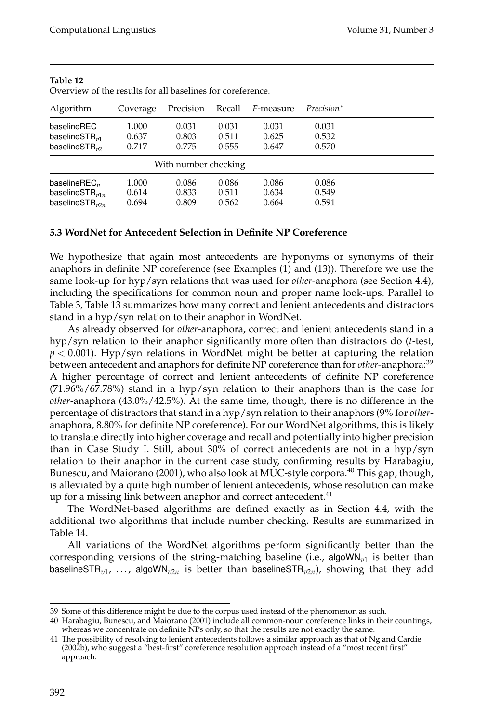| Algorithm                               | Coverage | Precision            | Recall | F-measure | Precision <sup>*</sup> |  |  |
|-----------------------------------------|----------|----------------------|--------|-----------|------------------------|--|--|
| baselineREC                             | 1.000    | 0.031                | 0.031  | 0.031     | 0.031                  |  |  |
| baselineSTR <sub><math>n1</math></sub>  | 0.637    | 0.803                | 0.511  | 0.625     | 0.532                  |  |  |
| baseline $STR_{n2}$                     | 0.717    | 0.775                | 0.555  | 0.647     | 0.570                  |  |  |
|                                         |          | With number checking |        |           |                        |  |  |
| baselineREC <sub>n</sub>                | 1.000    | 0.086                | 0.086  | 0.086     | 0.086                  |  |  |
| baselineSTR <sub><math>v1n</math></sub> | 0.614    | 0.833                | 0.511  | 0.634     | 0.549                  |  |  |
| baselineSTR <sub><math>v2n</math></sub> | 0.694    | 0.809                | 0.562  | 0.664     | 0.591                  |  |  |

**Table 12** Overview of the results for all baselines for coreference.

## **5.3 WordNet for Antecedent Selection in Definite NP Coreference**

We hypothesize that again most antecedents are hyponyms or synonyms of their anaphors in definite NP coreference (see Examples (1) and (13)). Therefore we use the same look-up for hyp/syn relations that was used for *other-*anaphora (see Section 4.4), including the specifications for common noun and proper name look-ups. Parallel to Table 3, Table 13 summarizes how many correct and lenient antecedents and distractors stand in a hyp/syn relation to their anaphor in WordNet.

As already observed for *other-*anaphora, correct and lenient antecedents stand in a hyp/syn relation to their anaphor significantly more often than distractors do (*t*-test,  $p < 0.001$ ). Hyp/syn relations in WordNet might be better at capturing the relation between antecedent and anaphors for definite NP coreference than for *other*-anaphora:<sup>39</sup> A higher percentage of correct and lenient antecedents of definite NP coreference (71.96%/67.78%) stand in a hyp/syn relation to their anaphors than is the case for *other*-anaphora (43.0%/42.5%). At the same time, though, there is no difference in the percentage of distractors that stand in a hyp/syn relation to their anaphors (9% for *other*anaphora, 8.80% for definite NP coreference). For our WordNet algorithms, this is likely to translate directly into higher coverage and recall and potentially into higher precision than in Case Study I. Still, about 30% of correct antecedents are not in a hyp/syn relation to their anaphor in the current case study, confirming results by Harabagiu, Bunescu, and Maiorano (2001), who also look at MUC-style corpora.<sup>40</sup> This gap, though, is alleviated by a quite high number of lenient antecedents, whose resolution can make up for a missing link between anaphor and correct antecedent.<sup>41</sup>

The WordNet-based algorithms are defined exactly as in Section 4.4, with the additional two algorithms that include number checking. Results are summarized in Table 14.

All variations of the WordNet algorithms perform significantly better than the corresponding versions of the string-matching baseline (i.e., algoWN<sub>v1</sub> is better than baselineSTR<sub>*v*1</sub>, ..., algoWN<sub>*v*2*n*</sub> is better than baselineSTR<sub>*v*2*n*</sub>), showing that they add

<sup>39</sup> Some of this difference might be due to the corpus used instead of the phenomenon as such.

<sup>40</sup> Harabagiu, Bunescu, and Maiorano (2001) include all common-noun coreference links in their countings, whereas we concentrate on definite NPs only, so that the results are not exactly the same.

<sup>41</sup> The possibility of resolving to lenient antecedents follows a similar approach as that of Ng and Cardie (2002b), who suggest a "best-first" coreference resolution approach instead of a "most recent first" approach.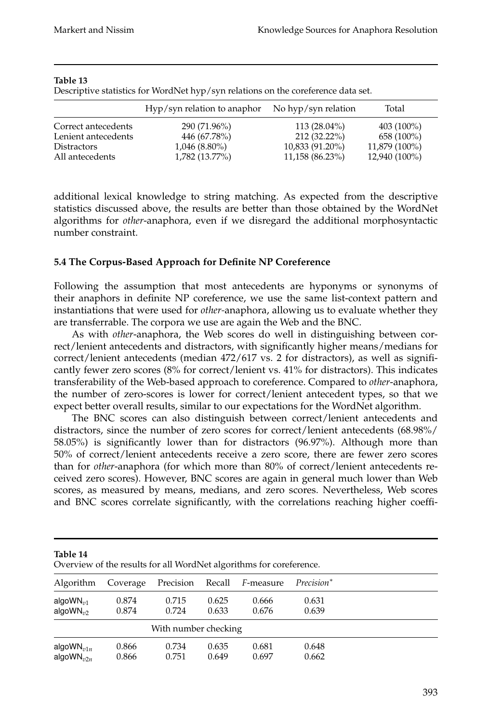| г<br>٠<br>۰,<br>I |  |
|-------------------|--|
|-------------------|--|

Descriptive statistics for WordNet hyp/syn relations on the coreference data set.

|                     | Hyp/syn relation to anaphor | No hyp/syn relation | Total         |
|---------------------|-----------------------------|---------------------|---------------|
| Correct antecedents | 290 (71.96%)                | $113(28.04\%)$      | $403(100\%)$  |
| Lenient antecedents | 446 (67.78%)                | 212 (32.22%)        | 658 (100%)    |
| <b>Distractors</b>  | $1,046(8.80\%)$             | 10,833 (91.20%)     | 11,879 (100%) |
| All antecedents     | 1,782 (13.77%)              | 11,158 (86.23%)     | 12,940 (100%) |

additional lexical knowledge to string matching. As expected from the descriptive statistics discussed above, the results are better than those obtained by the WordNet algorithms for *other*-anaphora, even if we disregard the additional morphosyntactic number constraint.

### **5.4 The Corpus-Based Approach for Definite NP Coreference**

Following the assumption that most antecedents are hyponyms or synonyms of their anaphors in definite NP coreference, we use the same list-context pattern and instantiations that were used for *other-*anaphora, allowing us to evaluate whether they are transferrable. The corpora we use are again the Web and the BNC.

As with *other*-anaphora, the Web scores do well in distinguishing between correct/lenient antecedents and distractors, with significantly higher means/medians for correct/lenient antecedents (median 472/617 vs. 2 for distractors), as well as significantly fewer zero scores (8% for correct/lenient vs. 41% for distractors). This indicates transferability of the Web-based approach to coreference. Compared to *other*-anaphora, the number of zero-scores is lower for correct/lenient antecedent types, so that we expect better overall results, similar to our expectations for the WordNet algorithm.

The BNC scores can also distinguish between correct/lenient antecedents and distractors, since the number of zero scores for correct/lenient antecedents (68.98%/ 58.05%) is significantly lower than for distractors (96.97%). Although more than 50% of correct/lenient antecedents receive a zero score, there are fewer zero scores than for *other*-anaphora (for which more than 80% of correct/lenient antecedents received zero scores). However, BNC scores are again in general much lower than Web scores, as measured by means, medians, and zero scores. Nevertheless, Web scores and BNC scores correlate significantly, with the correlations reaching higher coeffi-

| Table 14                                 |                |                      |                | Overview of the results for all WordNet algorithms for coreference. |                |  |
|------------------------------------------|----------------|----------------------|----------------|---------------------------------------------------------------------|----------------|--|
| Algorithm                                | Coverage       | Precision            | Recall         | F-measure                                                           | Precision*     |  |
| algo $WN_{n1}$<br>algoWN $_{72}$         | 0.874<br>0.874 | 0.715<br>0.724       | 0.625<br>0.633 | 0.666<br>0.676                                                      | 0.631<br>0.639 |  |
|                                          |                | With number checking |                |                                                                     |                |  |
| algoWN $_{v1n}$<br>algoWN $_{\eta_{2n}}$ | 0.866<br>0.866 | 0.734<br>0.751       | 0.635<br>0.649 | 0.681<br>0.697                                                      | 0.648<br>0.662 |  |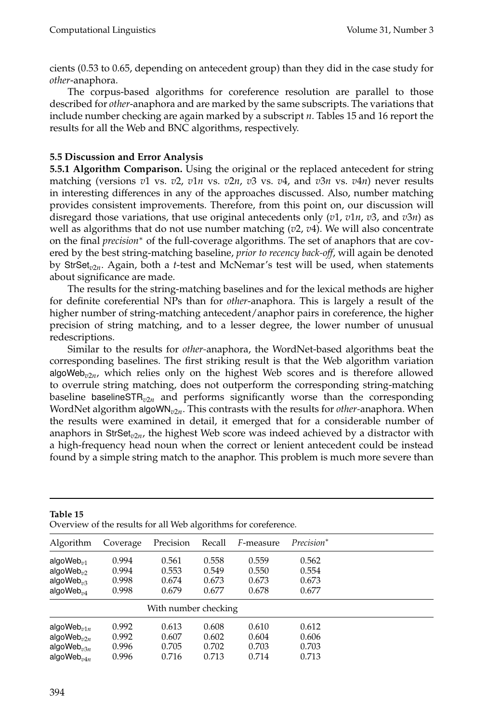cients (0.53 to 0.65, depending on antecedent group) than they did in the case study for *other*-anaphora.

The corpus-based algorithms for coreference resolution are parallel to those described for *other*-anaphora and are marked by the same subscripts. The variations that include number checking are again marked by a subscript *n*. Tables 15 and 16 report the results for all the Web and BNC algorithms, respectively.

## **5.5 Discussion and Error Analysis**

**5.5.1 Algorithm Comparison.** Using the original or the replaced antecedent for string matching (versions  $v_1$  vs.  $v_2$ ,  $v_1$ *n* vs.  $v_2$ *n*,  $v_3$  vs.  $v_4$ , and  $v_3$ *n* vs.  $v_4$ *n*) never results in interesting differences in any of the approaches discussed. Also, number matching provides consistent improvements. Therefore, from this point on, our discussion will disregard those variations, that use original antecedents only (*v*1, *v*1*n*, *v*3, and *v*3*n*) as well as algorithms that do not use number matching (*v*2, *v*4). We will also concentrate on the final *precision*∗ of the full-coverage algorithms. The set of anaphors that are covered by the best string-matching baseline, *prior to recency back-off*, will again be denoted by StrSet*v*2*n*. Again, both a *t*-test and McNemar's test will be used, when statements about significance are made.

The results for the string-matching baselines and for the lexical methods are higher for definite coreferential NPs than for *other*-anaphora. This is largely a result of the higher number of string-matching antecedent/anaphor pairs in coreference, the higher precision of string matching, and to a lesser degree, the lower number of unusual redescriptions.

Similar to the results for *other-*anaphora, the WordNet-based algorithms beat the corresponding baselines. The first striking result is that the Web algorithm variation algoWeb*v*2*n*, which relies only on the highest Web scores and is therefore allowed to overrule string matching, does not outperform the corresponding string-matching baseline baseline  $STR_{22n}$  and performs significantly worse than the corresponding WordNet algorithm algoWN*v*2*n*. This contrasts with the results for *other-*anaphora. When the results were examined in detail, it emerged that for a considerable number of anaphors in StrSet<sub>v2n</sub>, the highest Web score was indeed achieved by a distractor with a high-frequency head noun when the correct or lenient antecedent could be instead found by a simple string match to the anaphor. This problem is much more severe than

| Table 15                                                                                                                 |                                  |                                  |                                  | Overview of the results for all Web algorithms for coreference. |                                  |  |
|--------------------------------------------------------------------------------------------------------------------------|----------------------------------|----------------------------------|----------------------------------|-----------------------------------------------------------------|----------------------------------|--|
| Algorithm                                                                                                                | Coverage                         | Precision                        | Recall                           | <i>F</i> -measure                                               | Precision*                       |  |
| algoWeb <sub><math>21</math></sub><br>algoWeb <sub>22</sub><br>algoWeb <sub><math>v</math>3</sub><br>algoWeb $_{\rm 54}$ | 0.994<br>0.994<br>0.998<br>0.998 | 0.561<br>0.553<br>0.674<br>0.679 | 0.558<br>0.549<br>0.673<br>0.677 | 0.559<br>0.550<br>0.673<br>0.678                                | 0.562<br>0.554<br>0.673<br>0.677 |  |
|                                                                                                                          |                                  | With number checking             |                                  |                                                                 |                                  |  |
| algoWeb $_{v1n}$<br>algoWeb $_{\eta_{2n}}$<br>algoWeb $_{v3n}$<br>algoWeb $_{7.4n}$                                      | 0.992<br>0.992<br>0.996<br>0.996 | 0.613<br>0.607<br>0.705<br>0.716 | 0.608<br>0.602<br>0.702<br>0.713 | 0.610<br>0.604<br>0.703<br>0.714                                | 0.612<br>0.606<br>0.703<br>0.713 |  |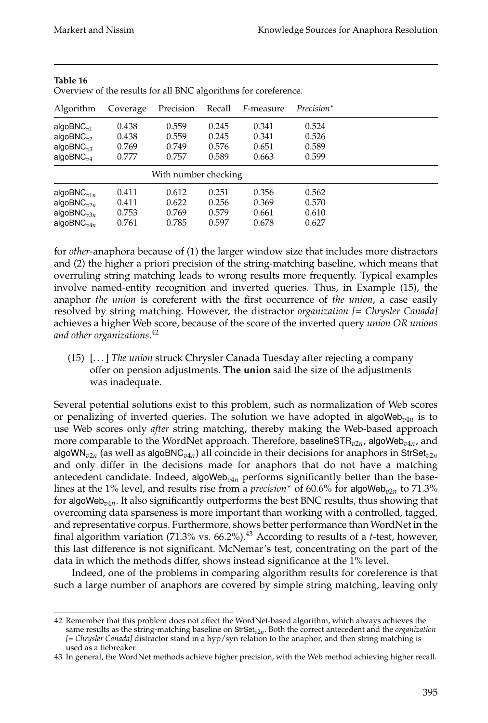| OVERVIEW OF the results for an DIVE algorithms for colercitence. |          |                      |        |                   |            |  |
|------------------------------------------------------------------|----------|----------------------|--------|-------------------|------------|--|
| Algorithm                                                        | Coverage | Precision            | Recall | <i>F</i> -measure | Precision* |  |
| algoBN $C_{n1}$                                                  | 0.438    | 0.559                | 0.245  | 0.341             | 0.524      |  |
| algoBN $C_{22}$                                                  | 0.438    | 0.559                | 0.245  | 0.341             | 0.526      |  |
| algoBN $C_{23}$                                                  | 0.769    | 0.749                | 0.576  | 0.651             | 0.589      |  |
| algoBN $C_{n4}$                                                  | 0.777    | 0.757                | 0.589  | 0.663             | 0.599      |  |
|                                                                  |          | With number checking |        |                   |            |  |
| algoBN $C_{n1n}$                                                 | 0.411    | 0.612                | 0.251  | 0.356             | 0.562      |  |
| algoBN $C_{n2n}$                                                 | 0.411    | 0.622                | 0.256  | 0.369             | 0.570      |  |
| algoBN $C_{n3n}$                                                 | 0.753    | 0.769                | 0.579  | 0.661             | 0.610      |  |
| algoBN $C_{n4n}$                                                 | 0.761    | 0.785                | 0.597  | 0.678             | 0.627      |  |

| Table 16 |                                                                 |  |  |
|----------|-----------------------------------------------------------------|--|--|
|          | Overview of the results for all BNC algorithms for coreference. |  |  |

for *other*-anaphora because of (1) the larger window size that includes more distractors and (2) the higher a priori precision of the string-matching baseline, which means that overruling string matching leads to wrong results more frequently. Typical examples involve named-entity recognition and inverted queries. Thus, in Example (15), the anaphor *the union* is coreferent with the first occurrence of *the union*, a case easily resolved by string matching. However, the distractor *organization [= Chrysler Canada]* achieves a higher Web score, because of the score of the inverted query *union OR unions and other organizations*. 42

(15) [. . . ] *The union* struck Chrysler Canada Tuesday after rejecting a company offer on pension adjustments. **The union** said the size of the adjustments was inadequate.

Several potential solutions exist to this problem, such as normalization of Web scores or penalizing of inverted queries. The solution we have adopted in algoweb<sub>*v*4*n*</sub> is to use Web scores only *after* string matching, thereby making the Web-based approach more comparable to the WordNet approach. Therefore, baselineSTR*v*2*n*, algoWeb*v*4*n*, and algoWN<sub>*v*2*n*</sub> (as well as algoBNC<sub>*v*4*n*</sub>) all coincide in their decisions for anaphors in StrSet<sub>*v*2*n*</sub> and only differ in the decisions made for anaphors that do not have a matching antecedent candidate. Indeed, algoWeb $v_{4n}$  performs significantly better than the baselines at the 1% level, and results rise from a *precision*<sup>\*</sup> of 60.6% for algoWeb<sub>*v2n*</sub> to 71.3% for algoWeb*v*4*n*. It also significantly outperforms the best BNC results, thus showing that overcoming data sparseness is more important than working with a controlled, tagged, and representative corpus. Furthermore, shows better performance than WordNet in the final algorithm variation (71.3% vs. 66.2%).<sup>43</sup> According to results of a *t*-test, however, this last difference is not significant. McNemar's test, concentrating on the part of the data in which the methods differ, shows instead significance at the 1% level.

Indeed, one of the problems in comparing algorithm results for coreference is that such a large number of anaphors are covered by simple string matching, leaving only

<sup>42</sup> Remember that this problem does not affect the WordNet-based algorithm, which always achieves the same results as the string-matching baseline on StrSet*v*2*n*. Both the correct antecedent and the *organization [= Chrysler Canada]* distractor stand in a hyp/syn relation to the anaphor, and then string matching is used as a tiebreaker.

<sup>43</sup> In general, the WordNet methods achieve higher precision, with the Web method achieving higher recall.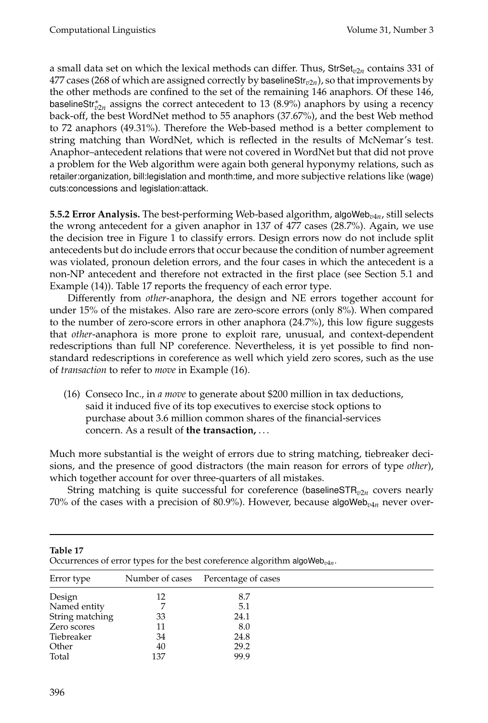a small data set on which the lexical methods can differ. Thus, StrSet*v*2*<sup>n</sup>* contains 331 of 477 cases (268 of which are assigned correctly by baselineStr<sub> $v_{2n}$ </sub>), so that improvements by the other methods are confined to the set of the remaining 146 anaphors. Of these 146, baselineStr<sub>∛2*n*</sub> assigns the correct antecedent to 13 (8.9%) anaphors by using a recency back-off, the best WordNet method to 55 anaphors (37.67%), and the best Web method to 72 anaphors (49.31%). Therefore the Web-based method is a better complement to string matching than WordNet, which is reflected in the results of McNemar's test. Anaphor–antecedent relations that were not covered in WordNet but that did not prove a problem for the Web algorithm were again both general hyponymy relations, such as retailer:organization, bill:legislation and month:time, and more subjective relations like (wage) cuts:concessions and legislation:attack.

**5.5.2 Error Analysis.** The best-performing Web-based algorithm, algoWeb*v*4*n*, still selects the wrong antecedent for a given anaphor in 137 of 477 cases (28.7%). Again, we use the decision tree in Figure 1 to classify errors. Design errors now do not include split antecedents but do include errors that occur because the condition of number agreement was violated, pronoun deletion errors, and the four cases in which the antecedent is a non-NP antecedent and therefore not extracted in the first place (see Section 5.1 and Example (14)). Table 17 reports the frequency of each error type.

Differently from *other*-anaphora, the design and NE errors together account for under 15% of the mistakes. Also rare are zero-score errors (only 8%). When compared to the number of zero-score errors in other anaphora (24.7%), this low figure suggests that *other*-anaphora is more prone to exploit rare, unusual, and context-dependent redescriptions than full NP coreference. Nevertheless, it is yet possible to find nonstandard redescriptions in coreference as well which yield zero scores, such as the use of *transaction* to refer to *move* in Example (16).

(16) Conseco Inc., in *a move* to generate about \$200 million in tax deductions, said it induced five of its top executives to exercise stock options to purchase about 3.6 million common shares of the financial-services concern. As a result of **the transaction,** ...

Much more substantial is the weight of errors due to string matching, tiebreaker decisions, and the presence of good distractors (the main reason for errors of type *other*), which together account for over three-quarters of all mistakes.

String matching is quite successful for coreference (baselineSTR<sub>v2n</sub> covers nearly 70% of the cases with a precision of 80.9%). However, because algoWeb<sub>*v4n*</sub> never over-

| TUDIL II<br>Occurrences of error types for the best coreference algorithm algoWeb $_{v4n}$ . |     |                                     |  |  |  |
|----------------------------------------------------------------------------------------------|-----|-------------------------------------|--|--|--|
| Error type                                                                                   |     | Number of cases Percentage of cases |  |  |  |
| Design                                                                                       | 12  | 8.7                                 |  |  |  |
| Named entity                                                                                 |     | 5.1                                 |  |  |  |
| String matching                                                                              | 33  | 24.1                                |  |  |  |
| Zero scores                                                                                  | 11  | 8.0                                 |  |  |  |
| Tiebreaker                                                                                   | 34  | 24.8                                |  |  |  |
| Other                                                                                        | 40  | 29.2                                |  |  |  |
| Total                                                                                        | 137 | 99.9                                |  |  |  |

**Table 17**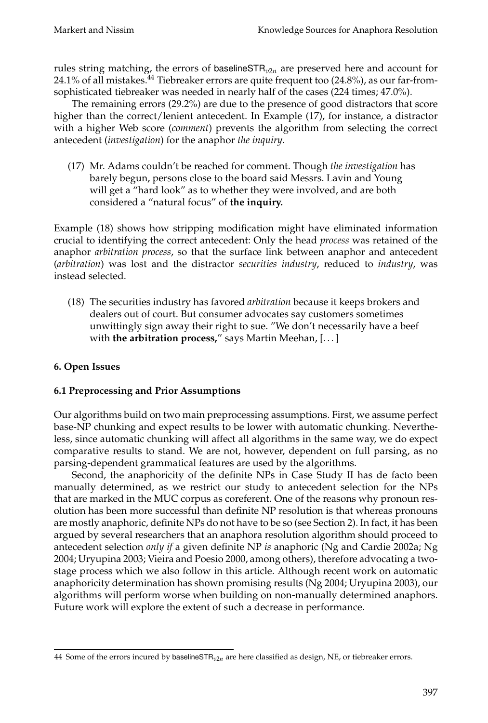rules string matching, the errors of baseline  $STR_{22n}$  are preserved here and account for 24.1% of all mistakes.<sup>44</sup> Tiebreaker errors are quite frequent too (24.8%), as our far-fromsophisticated tiebreaker was needed in nearly half of the cases (224 times; 47.0%).

The remaining errors (29.2%) are due to the presence of good distractors that score higher than the correct/lenient antecedent. In Example (17), for instance, a distractor with a higher Web score (*comment*) prevents the algorithm from selecting the correct antecedent (*investigation*) for the anaphor *the inquiry*.

(17) Mr. Adams couldn't be reached for comment. Though *the investigation* has barely begun, persons close to the board said Messrs. Lavin and Young will get a "hard look" as to whether they were involved, and are both considered a "natural focus" of **the inquiry.**

Example (18) shows how stripping modification might have eliminated information crucial to identifying the correct antecedent: Only the head *process* was retained of the anaphor *arbitration process*, so that the surface link between anaphor and antecedent (*arbitration*) was lost and the distractor *securities industry*, reduced to *industry*, was instead selected.

(18) The securities industry has favored *arbitration* because it keeps brokers and dealers out of court. But consumer advocates say customers sometimes unwittingly sign away their right to sue. "We don't necessarily have a beef with **the arbitration process,**" says Martin Meehan, [...]

# **6. Open Issues**

## **6.1 Preprocessing and Prior Assumptions**

Our algorithms build on two main preprocessing assumptions. First, we assume perfect base-NP chunking and expect results to be lower with automatic chunking. Nevertheless, since automatic chunking will affect all algorithms in the same way, we do expect comparative results to stand. We are not, however, dependent on full parsing, as no parsing-dependent grammatical features are used by the algorithms.

Second, the anaphoricity of the definite NPs in Case Study II has de facto been manually determined, as we restrict our study to antecedent selection for the NPs that are marked in the MUC corpus as coreferent. One of the reasons why pronoun resolution has been more successful than definite NP resolution is that whereas pronouns are mostly anaphoric, definite NPs do not have to be so (see Section 2). In fact, it has been argued by several researchers that an anaphora resolution algorithm should proceed to antecedent selection *only if* a given definite NP *is* anaphoric (Ng and Cardie 2002a; Ng 2004; Uryupina 2003; Vieira and Poesio 2000, among others), therefore advocating a twostage process which we also follow in this article. Although recent work on automatic anaphoricity determination has shown promising results (Ng 2004; Uryupina 2003), our algorithms will perform worse when building on non-manually determined anaphors. Future work will explore the extent of such a decrease in performance.

<sup>44</sup> Some of the errors incured by baselineSTR<sub>*v2n*</sub> are here classified as design, NE, or tiebreaker errors.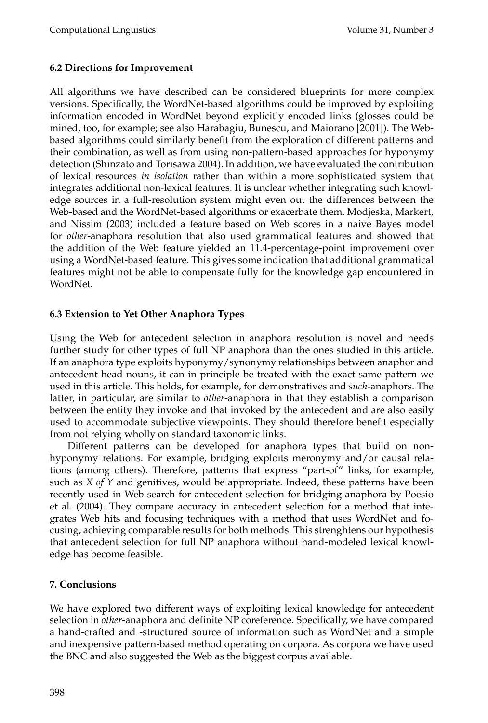## **6.2 Directions for Improvement**

All algorithms we have described can be considered blueprints for more complex versions. Specifically, the WordNet-based algorithms could be improved by exploiting information encoded in WordNet beyond explicitly encoded links (glosses could be mined, too, for example; see also Harabagiu, Bunescu, and Maiorano [2001]). The Webbased algorithms could similarly benefit from the exploration of different patterns and their combination, as well as from using non-pattern-based approaches for hyponymy detection (Shinzato and Torisawa 2004). In addition, we have evaluated the contribution of lexical resources *in isolation* rather than within a more sophisticated system that integrates additional non-lexical features. It is unclear whether integrating such knowledge sources in a full-resolution system might even out the differences between the Web-based and the WordNet-based algorithms or exacerbate them. Modjeska, Markert, and Nissim (2003) included a feature based on Web scores in a naive Bayes model for *other*-anaphora resolution that also used grammatical features and showed that the addition of the Web feature yielded an 11.4-percentage-point improvement over using a WordNet-based feature. This gives some indication that additional grammatical features might not be able to compensate fully for the knowledge gap encountered in WordNet.

# **6.3 Extension to Yet Other Anaphora Types**

Using the Web for antecedent selection in anaphora resolution is novel and needs further study for other types of full NP anaphora than the ones studied in this article. If an anaphora type exploits hyponymy/synonymy relationships between anaphor and antecedent head nouns, it can in principle be treated with the exact same pattern we used in this article. This holds, for example, for demonstratives and *such*-anaphors. The latter, in particular, are similar to *other*-anaphora in that they establish a comparison between the entity they invoke and that invoked by the antecedent and are also easily used to accommodate subjective viewpoints. They should therefore benefit especially from not relying wholly on standard taxonomic links.

Different patterns can be developed for anaphora types that build on nonhyponymy relations. For example, bridging exploits meronymy and/or causal relations (among others). Therefore, patterns that express "part-of" links, for example, such as *X of Y* and genitives, would be appropriate. Indeed, these patterns have been recently used in Web search for antecedent selection for bridging anaphora by Poesio et al. (2004). They compare accuracy in antecedent selection for a method that integrates Web hits and focusing techniques with a method that uses WordNet and focusing, achieving comparable results for both methods. This strenghtens our hypothesis that antecedent selection for full NP anaphora without hand-modeled lexical knowledge has become feasible.

## **7. Conclusions**

We have explored two different ways of exploiting lexical knowledge for antecedent selection in *other*-anaphora and definite NP coreference. Specifically, we have compared a hand-crafted and -structured source of information such as WordNet and a simple and inexpensive pattern-based method operating on corpora. As corpora we have used the BNC and also suggested the Web as the biggest corpus available.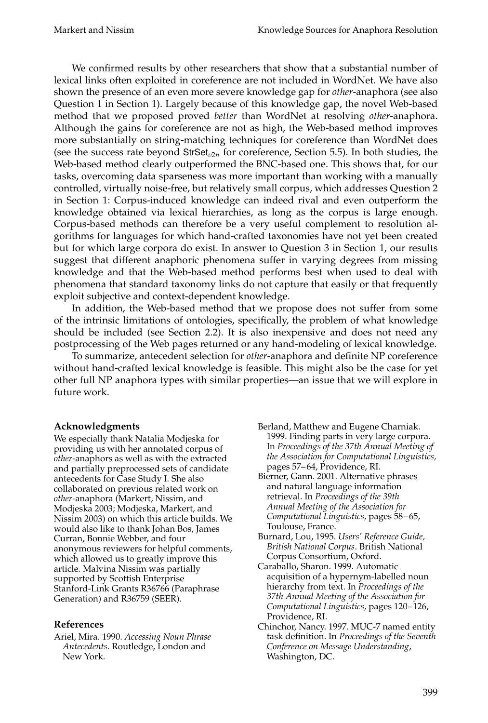We confirmed results by other researchers that show that a substantial number of lexical links often exploited in coreference are not included in WordNet. We have also shown the presence of an even more severe knowledge gap for *other*-anaphora (see also Question 1 in Section 1). Largely because of this knowledge gap, the novel Web-based method that we proposed proved *better* than WordNet at resolving *other*-anaphora. Although the gains for coreference are not as high, the Web-based method improves more substantially on string-matching techniques for coreference than WordNet does (see the success rate beyond StrSet*v*2*<sup>n</sup>* for coreference, Section 5.5). In both studies, the Web-based method clearly outperformed the BNC-based one. This shows that, for our tasks, overcoming data sparseness was more important than working with a manually controlled, virtually noise-free, but relatively small corpus, which addresses Question 2 in Section 1: Corpus-induced knowledge can indeed rival and even outperform the knowledge obtained via lexical hierarchies, as long as the corpus is large enough. Corpus-based methods can therefore be a very useful complement to resolution algorithms for languages for which hand-crafted taxonomies have not yet been created but for which large corpora do exist. In answer to Question 3 in Section 1, our results suggest that different anaphoric phenomena suffer in varying degrees from missing knowledge and that the Web-based method performs best when used to deal with phenomena that standard taxonomy links do not capture that easily or that frequently exploit subjective and context-dependent knowledge.

In addition, the Web-based method that we propose does not suffer from some of the intrinsic limitations of ontologies, specifically, the problem of what knowledge should be included (see Section 2.2). It is also inexpensive and does not need any postprocessing of the Web pages returned or any hand-modeling of lexical knowledge.

To summarize, antecedent selection for *other*-anaphora and definite NP coreference without hand-crafted lexical knowledge is feasible. This might also be the case for yet other full NP anaphora types with similar properties—an issue that we will explore in future work.

### **Acknowledgments**

We especially thank Natalia Modjeska for providing us with her annotated corpus of *other*-anaphors as well as with the extracted and partially preprocessed sets of candidate antecedents for Case Study I. She also collaborated on previous related work on *other-*anaphora (Markert, Nissim, and Modjeska 2003; Modjeska, Markert, and Nissim 2003) on which this article builds. We would also like to thank Johan Bos, James Curran, Bonnie Webber, and four anonymous reviewers for helpful comments, which allowed us to greatly improve this article. Malvina Nissim was partially supported by Scottish Enterprise Stanford-Link Grants R36766 (Paraphrase Generation) and R36759 (SEER).

## **References**

Ariel, Mira. 1990. *Accessing Noun Phrase Antecedents*. Routledge, London and New York.

Berland, Matthew and Eugene Charniak. 1999. Finding parts in very large corpora. In *Proceedings of the 37th Annual Meeting of the Association for Computational Linguistics,* pages 57–64, Providence, RI.

Bierner, Gann. 2001. Alternative phrases and natural language information retrieval. In *Proceedings of the 39th Annual Meeting of the Association for Computational Linguistics,* pages 58–65, Toulouse, France.

- Burnard, Lou, 1995. *Users' Reference Guide, British National Corpus*. British National Corpus Consortium, Oxford.
- Caraballo, Sharon. 1999. Automatic acquisition of a hypernym-labelled noun hierarchy from text. In *Proceedings of the 37th Annual Meeting of the Association for Computational Linguistics,* pages 120–126, Providence, RI.
- Chinchor, Nancy. 1997. MUC-7 named entity task definition. In *Proceedings of the Seventh Conference on Message Understanding*, Washington, DC.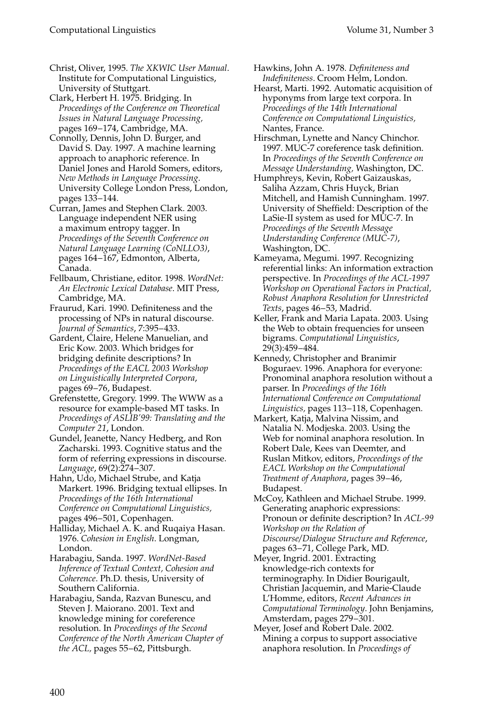Christ, Oliver, 1995. *The XKWIC User Manual*. Institute for Computational Linguistics, University of Stuttgart.

Clark, Herbert H. 1975. Bridging. In *Proceedings of the Conference on Theoretical Issues in Natural Language Processing,* pages 169–174, Cambridge, MA.

Connolly, Dennis, John D. Burger, and David S. Day. 1997. A machine learning approach to anaphoric reference. In Daniel Jones and Harold Somers, editors, *New Methods in Language Processing*. University College London Press, London, pages 133–144.

Curran, James and Stephen Clark. 2003. Language independent NER using a maximum entropy tagger. In *Proceedings of the Seventh Conference on Natural Language Learning (CoNLLO3)*, pages 164–167, Edmonton, Alberta, Canada.

Fellbaum, Christiane, editor. 1998. *WordNet: An Electronic Lexical Database*. MIT Press, Cambridge, MA.

Fraurud, Kari. 1990. Definiteness and the processing of NPs in natural discourse. *Journal of Semantics*, 7:395–433.

Gardent, Claire, Helene Manuelian, and Eric Kow. 2003. Which bridges for bridging definite descriptions? In *Proceedings of the EACL 2003 Workshop on Linguistically Interpreted Corpora*, pages 69–76, Budapest.

Grefenstette, Gregory. 1999. The WWW as a resource for example-based MT tasks. In *Proceedings of ASLIB'99: Translating and the Computer 21*, London.

Gundel, Jeanette, Nancy Hedberg, and Ron Zacharski. 1993. Cognitive status and the form of referring expressions in discourse. *Language*, 69(2):274–307.

Hahn, Udo, Michael Strube, and Katja Markert. 1996. Bridging textual ellipses. In *Proceedings of the 16th International Conference on Computational Linguistics,* pages 496–501, Copenhagen.

Halliday, Michael A. K. and Ruqaiya Hasan. 1976. *Cohesion in English*. Longman, London.

Harabagiu, Sanda. 1997. *WordNet-Based Inference of Textual Context, Cohesion and Coherence*. Ph.D. thesis, University of Southern California.

Harabagiu, Sanda, Razvan Bunescu, and Steven J. Maiorano. 2001. Text and knowledge mining for coreference resolution. In *Proceedings of the Second Conference of the North American Chapter of the ACL,* pages 55–62, Pittsburgh.

Hawkins, John A. 1978. *Definiteness and Indefiniteness*. Croom Helm, London.

Hearst, Marti. 1992. Automatic acquisition of hyponyms from large text corpora. In *Proceedings of the 14th International Conference on Computational Linguistics,* Nantes, France.

Hirschman, Lynette and Nancy Chinchor. 1997. MUC-7 coreference task definition. In *Proceedings of the Seventh Conference on Message Understanding,* Washington, DC.

Humphreys, Kevin, Robert Gaizauskas, Saliha Azzam, Chris Huyck, Brian Mitchell, and Hamish Cunningham. 1997. University of Sheffield: Description of the LaSie-II system as used for MUC-7. In *Proceedings of the Seventh Message Understanding Conference (MUC-7)*, Washington, DC.

Kameyama, Megumi. 1997. Recognizing referential links: An information extraction perspective. In *Proceedings of the ACL-1997 Workshop on Operational Factors in Practical, Robust Anaphora Resolution for Unrestricted Texts*, pages 46–53, Madrid.

Keller, Frank and Maria Lapata. 2003. Using the Web to obtain frequencies for unseen bigrams. *Computational Linguistics*, 29(3):459–484.

Kennedy, Christopher and Branimir Boguraev. 1996. Anaphora for everyone: Pronominal anaphora resolution without a parser. In *Proceedings of the 16th International Conference on Computational Linguistics,* pages 113–118, Copenhagen.

Markert, Katja, Malvina Nissim, and Natalia N. Modjeska. 2003. Using the Web for nominal anaphora resolution. In Robert Dale, Kees van Deemter, and Ruslan Mitkov, editors, *Proceedings of the EACL Workshop on the Computational Treatment of Anaphora*, pages 39–46, Budapest.

McCoy, Kathleen and Michael Strube. 1999. Generating anaphoric expressions: Pronoun or definite description? In *ACL-99 Workshop on the Relation of Discourse/Dialogue Structure and Reference*, pages 63–71, College Park, MD.

Meyer, Ingrid. 2001. Extracting knowledge-rich contexts for terminography. In Didier Bourigault, Christian Jacquemin, and Marie-Claude L'Homme, editors, *Recent Advances in Computational Terminology*. John Benjamins, Amsterdam, pages 279–301.

Meyer, Josef and Robert Dale. 2002. Mining a corpus to support associative anaphora resolution. In *Proceedings of*